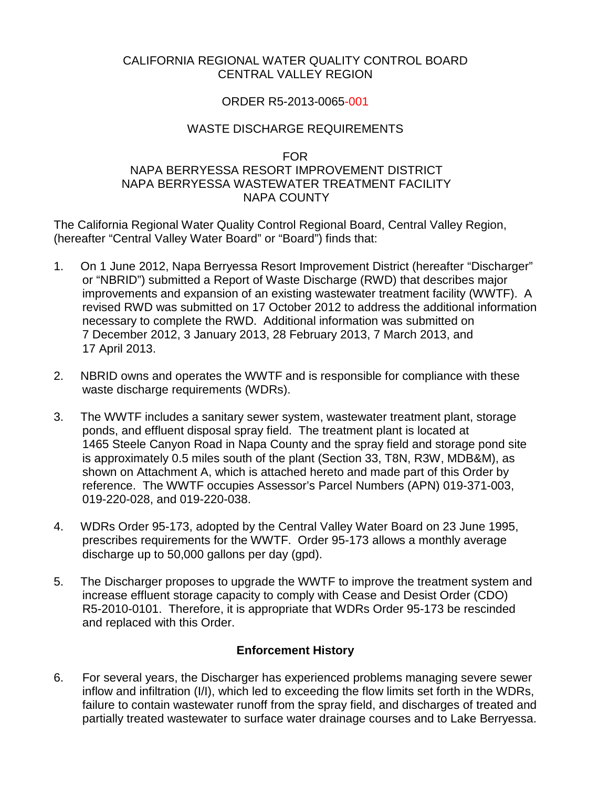#### CALIFORNIA REGIONAL WATER QUALITY CONTROL BOARD CENTRAL VALLEY REGION

### ORDER R5-2013-0065-001

### WASTE DISCHARGE REQUIREMENTS

#### FOR

## NAPA BERRYESSA RESORT IMPROVEMENT DISTRICT NAPA BERRYESSA WASTEWATER TREATMENT FACILITY NAPA COUNTY

The California Regional Water Quality Control Regional Board, Central Valley Region, (hereafter "Central Valley Water Board" or "Board") finds that:

- 1. On 1 June 2012, Napa Berryessa Resort Improvement District (hereafter "Discharger" or "NBRID") submitted a Report of Waste Discharge (RWD) that describes major improvements and expansion of an existing wastewater treatment facility (WWTF). A revised RWD was submitted on 17 October 2012 to address the additional information necessary to complete the RWD. Additional information was submitted on 7 December 2012, 3 January 2013, 28 February 2013, 7 March 2013, and 17 April 2013.
- 2. NBRID owns and operates the WWTF and is responsible for compliance with these waste discharge requirements (WDRs).
- 3. The WWTF includes a sanitary sewer system, wastewater treatment plant, storage ponds, and effluent disposal spray field. The treatment plant is located at 1465 Steele Canyon Road in Napa County and the spray field and storage pond site is approximately 0.5 miles south of the plant (Section 33, T8N, R3W, MDB&M), as shown on Attachment A, which is attached hereto and made part of this Order by reference. The WWTF occupies Assessor's Parcel Numbers (APN) 019-371-003, 019-220-028, and 019-220-038.
- 4. WDRs Order 95-173, adopted by the Central Valley Water Board on 23 June 1995, prescribes requirements for the WWTF. Order 95-173 allows a monthly average discharge up to 50,000 gallons per day (gpd).
- 5. The Discharger proposes to upgrade the WWTF to improve the treatment system and increase effluent storage capacity to comply with Cease and Desist Order (CDO) R5-2010-0101. Therefore, it is appropriate that WDRs Order 95-173 be rescinded and replaced with this Order.

# **Enforcement History**

<span id="page-0-0"></span>6. For several years, the Discharger has experienced problems managing severe sewer inflow and infiltration (I/I), which led to exceeding the flow limits set forth in the WDRs, failure to contain wastewater runoff from the spray field, and discharges of treated and partially treated wastewater to surface water drainage courses and to Lake Berryessa.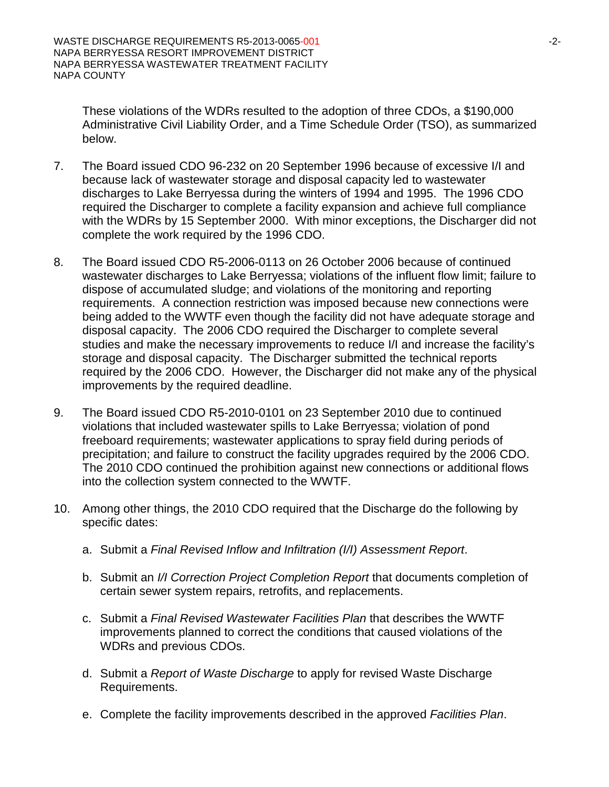These violations of the WDRs resulted to the adoption of three CDOs, a \$190,000 Administrative Civil Liability Order, and a Time Schedule Order (TSO), as summarized below.

- 7. The Board issued CDO 96-232 on 20 September 1996 because of excessive I/I and because lack of wastewater storage and disposal capacity led to wastewater discharges to Lake Berryessa during the winters of 1994 and 1995. The 1996 CDO required the Discharger to complete a facility expansion and achieve full compliance with the WDRs by 15 September 2000. With minor exceptions, the Discharger did not complete the work required by the 1996 CDO.
- 8. The Board issued CDO R5-2006-0113 on 26 October 2006 because of continued wastewater discharges to Lake Berryessa; violations of the influent flow limit; failure to dispose of accumulated sludge; and violations of the monitoring and reporting requirements. A connection restriction was imposed because new connections were being added to the WWTF even though the facility did not have adequate storage and disposal capacity. The 2006 CDO required the Discharger to complete several studies and make the necessary improvements to reduce I/I and increase the facility's storage and disposal capacity. The Discharger submitted the technical reports required by the 2006 CDO. However, the Discharger did not make any of the physical improvements by the required deadline.
- 9. The Board issued CDO R5-2010-0101 on 23 September 2010 due to continued violations that included wastewater spills to Lake Berryessa; violation of pond freeboard requirements; wastewater applications to spray field during periods of precipitation; and failure to construct the facility upgrades required by the 2006 CDO. The 2010 CDO continued the prohibition against new connections or additional flows into the collection system connected to the WWTF.
- 10. Among other things, the 2010 CDO required that the Discharge do the following by specific dates:
	- a. Submit a *Final Revised Inflow and Infiltration (I/I) Assessment Report*.
	- b. Submit an *I/I Correction Project Completion Report* that documents completion of certain sewer system repairs, retrofits, and replacements.
	- c. Submit a *Final Revised Wastewater Facilities Plan* that describes the WWTF improvements planned to correct the conditions that caused violations of the WDRs and previous CDOs.
	- d. Submit a *Report of Waste Discharge* to apply for revised Waste Discharge Requirements.
	- e. Complete the facility improvements described in the approved *Facilities Plan*.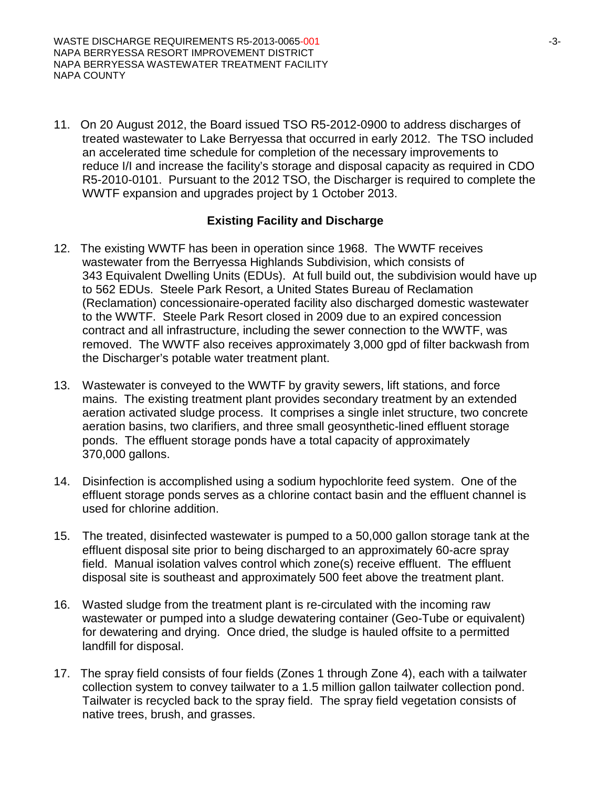11. On 20 August 2012, the Board issued TSO R5-2012-0900 to address discharges of treated wastewater to Lake Berryessa that occurred in early 2012. The TSO included an accelerated time schedule for completion of the necessary improvements to reduce I/I and increase the facility's storage and disposal capacity as required in CDO R5-2010-0101. Pursuant to the 2012 TSO, the Discharger is required to complete the WWTF expansion and upgrades project by 1 October 2013.

### **Existing Facility and Discharge**

- 12. The existing WWTF has been in operation since 1968. The WWTF receives wastewater from the Berryessa Highlands Subdivision, which consists of 343 Equivalent Dwelling Units (EDUs). At full build out, the subdivision would have up to 562 EDUs. Steele Park Resort, a United States Bureau of Reclamation (Reclamation) concessionaire-operated facility also discharged domestic wastewater to the WWTF. Steele Park Resort closed in 2009 due to an expired concession contract and all infrastructure, including the sewer connection to the WWTF, was removed. The WWTF also receives approximately 3,000 gpd of filter backwash from the Discharger's potable water treatment plant.
- 13. Wastewater is conveyed to the WWTF by gravity sewers, lift stations, and force mains. The existing treatment plant provides secondary treatment by an extended aeration activated sludge process. It comprises a single inlet structure, two concrete aeration basins, two clarifiers, and three small geosynthetic-lined effluent storage ponds. The effluent storage ponds have a total capacity of approximately 370,000 gallons.
- 14. Disinfection is accomplished using a sodium hypochlorite feed system. One of the effluent storage ponds serves as a chlorine contact basin and the effluent channel is used for chlorine addition.
- 15. The treated, disinfected wastewater is pumped to a 50,000 gallon storage tank at the effluent disposal site prior to being discharged to an approximately 60-acre spray field. Manual isolation valves control which zone(s) receive effluent. The effluent disposal site is southeast and approximately 500 feet above the treatment plant.
- 16. Wasted sludge from the treatment plant is re-circulated with the incoming raw wastewater or pumped into a sludge dewatering container (Geo-Tube or equivalent) for dewatering and drying. Once dried, the sludge is hauled offsite to a permitted landfill for disposal.
- 17. The spray field consists of four fields (Zones 1 through Zone 4), each with a tailwater collection system to convey tailwater to a 1.5 million gallon tailwater collection pond. Tailwater is recycled back to the spray field. The spray field vegetation consists of native trees, brush, and grasses.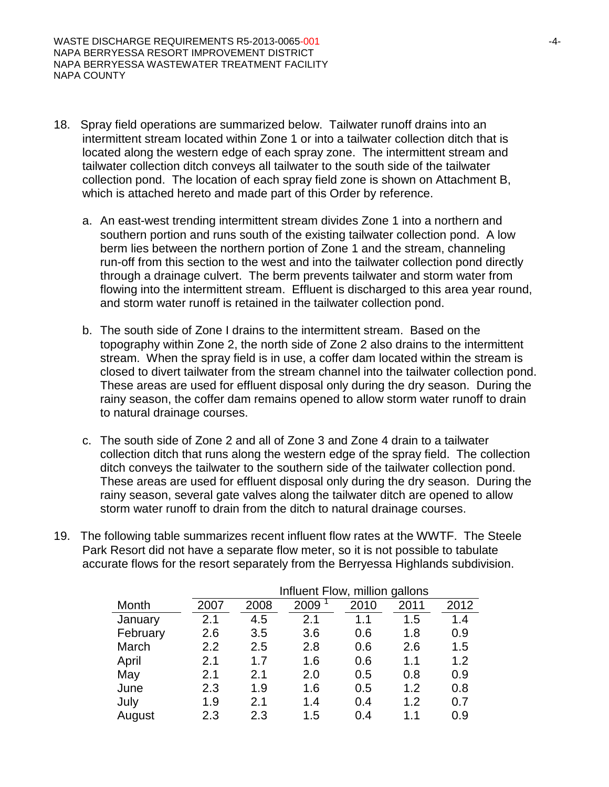- 18. Spray field operations are summarized below. Tailwater runoff drains into an intermittent stream located within Zone 1 or into a tailwater collection ditch that is located along the western edge of each spray zone. The intermittent stream and tailwater collection ditch conveys all tailwater to the south side of the tailwater collection pond. The location of each spray field zone is shown on Attachment B, which is attached hereto and made part of this Order by reference.
	- a. An east-west trending intermittent stream divides Zone 1 into a northern and southern portion and runs south of the existing tailwater collection pond. A low berm lies between the northern portion of Zone 1 and the stream, channeling run-off from this section to the west and into the tailwater collection pond directly through a drainage culvert. The berm prevents tailwater and storm water from flowing into the intermittent stream. Effluent is discharged to this area year round, and storm water runoff is retained in the tailwater collection pond.
	- b. The south side of Zone I drains to the intermittent stream. Based on the topography within Zone 2, the north side of Zone 2 also drains to the intermittent stream. When the spray field is in use, a coffer dam located within the stream is closed to divert tailwater from the stream channel into the tailwater collection pond. These areas are used for effluent disposal only during the dry season. During the rainy season, the coffer dam remains opened to allow storm water runoff to drain to natural drainage courses.
	- c. The south side of Zone 2 and all of Zone 3 and Zone 4 drain to a tailwater collection ditch that runs along the western edge of the spray field. The collection ditch conveys the tailwater to the southern side of the tailwater collection pond. These areas are used for effluent disposal only during the dry season. During the rainy season, several gate valves along the tailwater ditch are opened to allow storm water runoff to drain from the ditch to natural drainage courses.
- 19. The following table summarizes recent influent flow rates at the WWTF. The Steele Park Resort did not have a separate flow meter, so it is not possible to tabulate accurate flows for the resort separately from the Berryessa Highlands subdivision.

|          |      | Influent Flow, million gallons |      |      |      |      |  |
|----------|------|--------------------------------|------|------|------|------|--|
| Month    | 2007 | 2008                           | 2009 | 2010 | 2011 | 2012 |  |
| January  | 2.1  | 4.5                            | 2.1  | 1.1  | 1.5  | 1.4  |  |
| February | 2.6  | 3.5                            | 3.6  | 0.6  | 1.8  | 0.9  |  |
| March    | 2.2  | 2.5                            | 2.8  | 0.6  | 2.6  | 1.5  |  |
| April    | 2.1  | 1.7                            | 1.6  | 0.6  | 1.1  | 1.2  |  |
| May      | 2.1  | 2.1                            | 2.0  | 0.5  | 0.8  | 0.9  |  |
| June     | 2.3  | 1.9                            | 1.6  | 0.5  | 1.2  | 0.8  |  |
| July     | 1.9  | 2.1                            | 1.4  | 0.4  | 1.2  | 0.7  |  |
| August   | 2.3  | 2.3                            | 1.5  | 0.4  | 11   | 0.9  |  |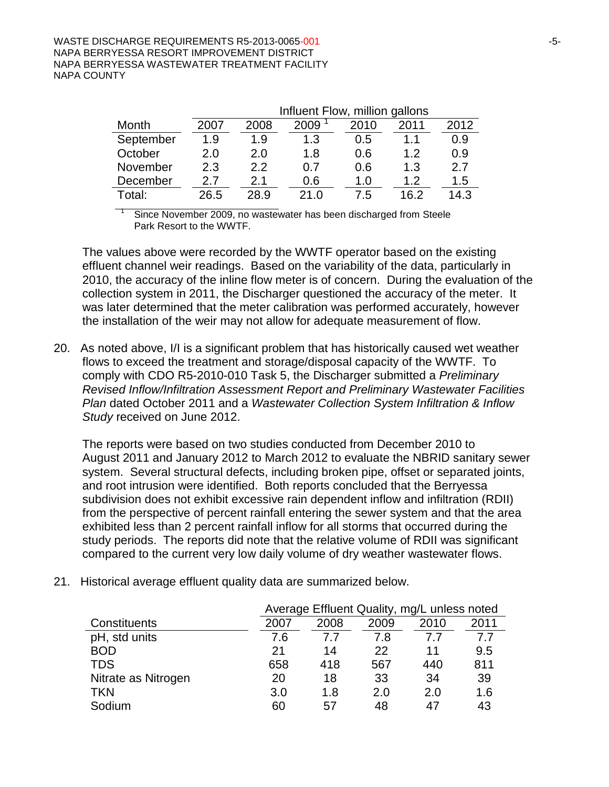|           |      | Influent Flow, million gallons |      |      |      |      |
|-----------|------|--------------------------------|------|------|------|------|
| Month     | 2007 | 2008                           | 2009 | 2010 | 2011 | 2012 |
| September | 1.9  | 1.9                            | 1.3  | 0.5  | 1.1  | 0.9  |
| October   | 2.0  | 2.0                            | 1.8  | 0.6  | 1.2  | 0.9  |
| November  | 2.3  | 2.2                            | 0.7  | 0.6  | 1.3  | 2.7  |
| December  | 2.7  | 2.1                            | 0.6  | 1.0  | 1.2  | 1.5  |
| Total:    | 26.5 | 28.9                           | 21.0 | 7.5  | 162  | 14.3 |

Since November 2009, no wastewater has been discharged from Steele Park Resort to the WWTF.

The values above were recorded by the WWTF operator based on the existing effluent channel weir readings. Based on the variability of the data, particularly in 2010, the accuracy of the inline flow meter is of concern. During the evaluation of the collection system in 2011, the Discharger questioned the accuracy of the meter. It was later determined that the meter calibration was performed accurately, however the installation of the weir may not allow for adequate measurement of flow.

20. As noted above, I/I is a significant problem that has historically caused wet weather flows to exceed the treatment and storage/disposal capacity of the WWTF. To comply with CDO R5-2010-010 Task 5, the Discharger submitted a *Preliminary Revised Inflow/Infiltration Assessment Report and Preliminary Wastewater Facilities Plan* dated October 2011 and a *Wastewater Collection System Infiltration & Inflow Study* received on June 2012.

The reports were based on two studies conducted from December 2010 to August 2011 and January 2012 to March 2012 to evaluate the NBRID sanitary sewer system. Several structural defects, including broken pipe, offset or separated joints, and root intrusion were identified. Both reports concluded that the Berryessa subdivision does not exhibit excessive rain dependent inflow and infiltration (RDII) from the perspective of percent rainfall entering the sewer system and that the area exhibited less than 2 percent rainfall inflow for all storms that occurred during the study periods. The reports did note that the relative volume of RDII was significant compared to the current very low daily volume of dry weather wastewater flows.

|                     |      | Average Effluent Quality, mg/L unless noted |      |      |      |  |
|---------------------|------|---------------------------------------------|------|------|------|--|
| Constituents        | 2007 | 2008                                        | 2009 | 2010 | 2011 |  |
| pH, std units       | 7.6  | 77                                          | 7.8  | 77   | 7.7  |  |
| <b>BOD</b>          | 21   | 14                                          | 22   | 11   | 9.5  |  |
| <b>TDS</b>          | 658  | 418                                         | 567  | 440  | 811  |  |
| Nitrate as Nitrogen | 20   | 18                                          | 33   | 34   | 39   |  |
| TKN                 | 3.0  | 1.8                                         | 2.0  | 2.0  | 1.6  |  |
| Sodium              | 60   | 57                                          | 48   | 47   | 43   |  |

21. Historical average effluent quality data are summarized below.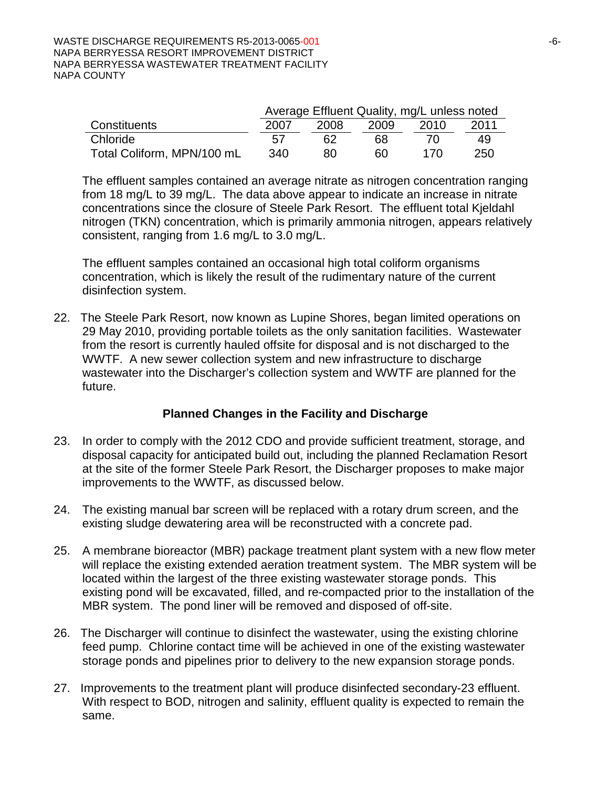|                            | Average Effluent Quality, mg/L unless noted |      |      |      |      |  |
|----------------------------|---------------------------------------------|------|------|------|------|--|
| Constituents               | 2007                                        | 2008 | 2009 | 2010 | 2011 |  |
| Chloride                   | 57                                          | 62   | 68   | 70.  | 49   |  |
| Total Coliform, MPN/100 mL | 340                                         | 80   | 60   | 170  | 250  |  |

The effluent samples contained an average nitrate as nitrogen concentration ranging from 18 mg/L to 39 mg/L. The data above appear to indicate an increase in nitrate concentrations since the closure of Steele Park Resort. The effluent total Kjeldahl nitrogen (TKN) concentration, which is primarily ammonia nitrogen, appears relatively consistent, ranging from 1.6 mg/L to 3.0 mg/L.

The effluent samples contained an occasional high total coliform organisms concentration, which is likely the result of the rudimentary nature of the current disinfection system.

22. The Steele Park Resort, now known as Lupine Shores, began limited operations on 29 May 2010, providing portable toilets as the only sanitation facilities. Wastewater from the resort is currently hauled offsite for disposal and is not discharged to the WWTF. A new sewer collection system and new infrastructure to discharge wastewater into the Discharger's collection system and WWTF are planned for the future.

# **Planned Changes in the Facility and Discharge**

- 23. In order to comply with the 2012 CDO and provide sufficient treatment, storage, and disposal capacity for anticipated build out, including the planned Reclamation Resort at the site of the former Steele Park Resort, the Discharger proposes to make major improvements to the WWTF, as discussed below.
- 24. The existing manual bar screen will be replaced with a rotary drum screen, and the existing sludge dewatering area will be reconstructed with a concrete pad.
- 25. A membrane bioreactor (MBR) package treatment plant system with a new flow meter will replace the existing extended aeration treatment system. The MBR system will be located within the largest of the three existing wastewater storage ponds. This existing pond will be excavated, filled, and re-compacted prior to the installation of the MBR system. The pond liner will be removed and disposed of off-site.
- 26. The Discharger will continue to disinfect the wastewater, using the existing chlorine feed pump. Chlorine contact time will be achieved in one of the existing wastewater storage ponds and pipelines prior to delivery to the new expansion storage ponds.
- 27. Improvements to the treatment plant will produce disinfected secondary-23 effluent. With respect to BOD, nitrogen and salinity, effluent quality is expected to remain the same.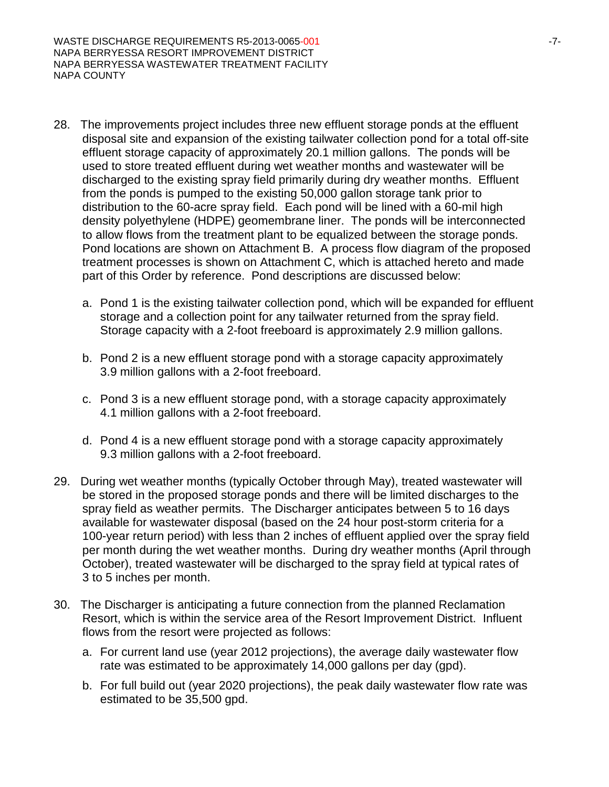- 28. The improvements project includes three new effluent storage ponds at the effluent disposal site and expansion of the existing tailwater collection pond for a total off-site effluent storage capacity of approximately 20.1 million gallons. The ponds will be used to store treated effluent during wet weather months and wastewater will be discharged to the existing spray field primarily during dry weather months. Effluent from the ponds is pumped to the existing 50,000 gallon storage tank prior to distribution to the 60-acre spray field. Each pond will be lined with a 60-mil high density polyethylene (HDPE) geomembrane liner. The ponds will be interconnected to allow flows from the treatment plant to be equalized between the storage ponds. Pond locations are shown on Attachment B. A process flow diagram of the proposed treatment processes is shown on Attachment C, which is attached hereto and made part of this Order by reference. Pond descriptions are discussed below:
	- a. Pond 1 is the existing tailwater collection pond, which will be expanded for effluent storage and a collection point for any tailwater returned from the spray field. Storage capacity with a 2-foot freeboard is approximately 2.9 million gallons.
	- b. Pond 2 is a new effluent storage pond with a storage capacity approximately 3.9 million gallons with a 2-foot freeboard.
	- c. Pond 3 is a new effluent storage pond, with a storage capacity approximately 4.1 million gallons with a 2-foot freeboard.
	- d. Pond 4 is a new effluent storage pond with a storage capacity approximately 9.3 million gallons with a 2-foot freeboard.
- 29. During wet weather months (typically October through May), treated wastewater will be stored in the proposed storage ponds and there will be limited discharges to the spray field as weather permits. The Discharger anticipates between 5 to 16 days available for wastewater disposal (based on the 24 hour post-storm criteria for a 100-year return period) with less than 2 inches of effluent applied over the spray field per month during the wet weather months. During dry weather months (April through October), treated wastewater will be discharged to the spray field at typical rates of 3 to 5 inches per month.
- 30. The Discharger is anticipating a future connection from the planned Reclamation Resort, which is within the service area of the Resort Improvement District. Influent flows from the resort were projected as follows:
	- a. For current land use (year 2012 projections), the average daily wastewater flow rate was estimated to be approximately 14,000 gallons per day (gpd).
	- b. For full build out (year 2020 projections), the peak daily wastewater flow rate was estimated to be 35,500 gpd.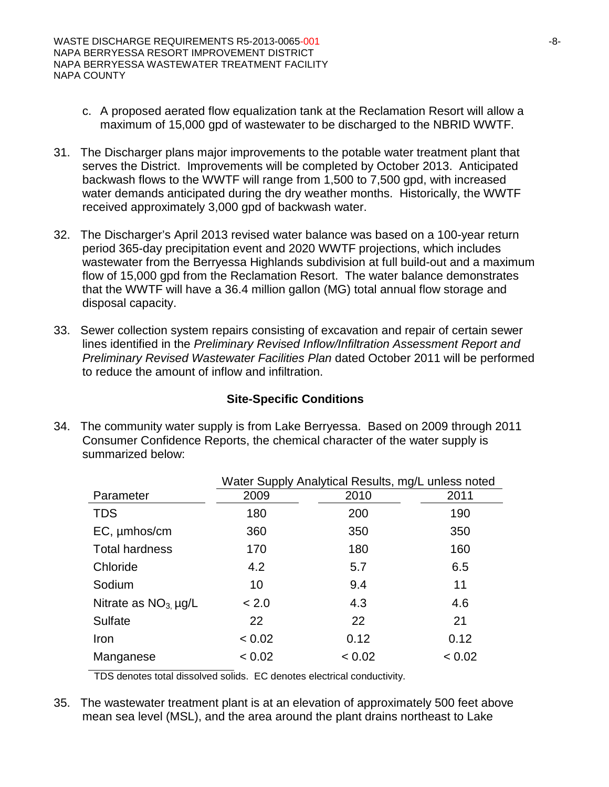- c. A proposed aerated flow equalization tank at the Reclamation Resort will allow a maximum of 15,000 gpd of wastewater to be discharged to the NBRID WWTF.
- 31. The Discharger plans major improvements to the potable water treatment plant that serves the District. Improvements will be completed by October 2013. Anticipated backwash flows to the WWTF will range from 1,500 to 7,500 gpd, with increased water demands anticipated during the dry weather months. Historically, the WWTF received approximately 3,000 gpd of backwash water.
- 32. The Discharger's April 2013 revised water balance was based on a 100-year return period 365-day precipitation event and 2020 WWTF projections, which includes wastewater from the Berryessa Highlands subdivision at full build-out and a maximum flow of 15,000 gpd from the Reclamation Resort. The water balance demonstrates that the WWTF will have a 36.4 million gallon (MG) total annual flow storage and disposal capacity.
- 33. Sewer collection system repairs consisting of excavation and repair of certain sewer lines identified in the *Preliminary Revised Inflow/Infiltration Assessment Report and Preliminary Revised Wastewater Facilities Plan* dated October 2011 will be performed to reduce the amount of inflow and infiltration.

### **Site-Specific Conditions**

34. The community water supply is from Lake Berryessa. Based on 2009 through 2011 Consumer Confidence Reports, the chemical character of the water supply is summarized below:

|                          | Water Supply Analytical Results, mg/L unless noted |        |        |  |  |
|--------------------------|----------------------------------------------------|--------|--------|--|--|
| Parameter                | 2009                                               | 2010   | 2011   |  |  |
| <b>TDS</b>               | 180                                                | 200    | 190    |  |  |
| EC, µmhos/cm             | 360                                                | 350    | 350    |  |  |
| <b>Total hardness</b>    | 170                                                | 180    | 160    |  |  |
| Chloride                 | 4.2                                                | 5.7    | 6.5    |  |  |
| Sodium                   | 10                                                 | 9.4    | 11     |  |  |
| Nitrate as $NO3 \mu g/L$ | < 2.0                                              | 4.3    | 4.6    |  |  |
| Sulfate                  | 22                                                 | 22     | 21     |  |  |
| Iron                     | < 0.02                                             | 0.12   | 0.12   |  |  |
| Manganese                | < 0.02                                             | < 0.02 | < 0.02 |  |  |

TDS denotes total dissolved solids. EC denotes electrical conductivity.

35. The wastewater treatment plant is at an elevation of approximately 500 feet above mean sea level (MSL), and the area around the plant drains northeast to Lake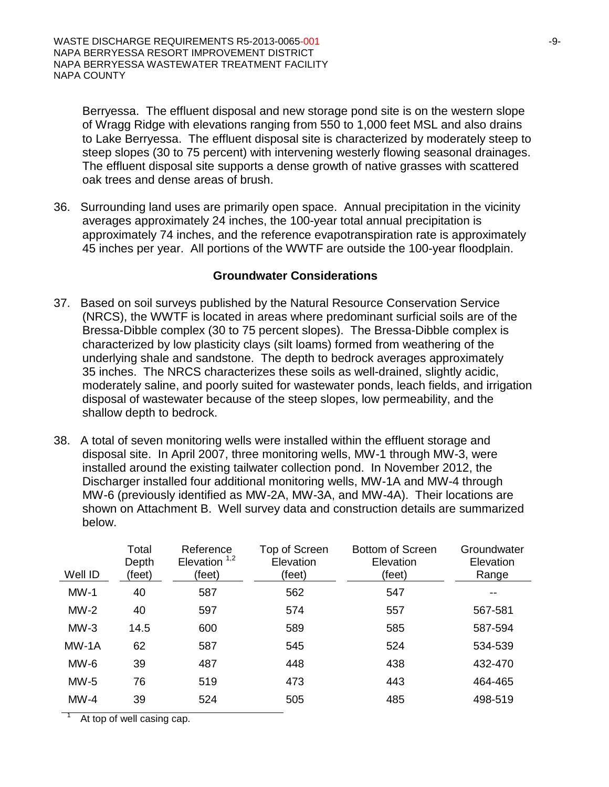Berryessa. The effluent disposal and new storage pond site is on the western slope of Wragg Ridge with elevations ranging from 550 to 1,000 feet MSL and also drains to Lake Berryessa. The effluent disposal site is characterized by moderately steep to steep slopes (30 to 75 percent) with intervening westerly flowing seasonal drainages. The effluent disposal site supports a dense growth of native grasses with scattered oak trees and dense areas of brush.

36. Surrounding land uses are primarily open space. Annual precipitation in the vicinity averages approximately 24 inches, the 100-year total annual precipitation is approximately 74 inches, and the reference evapotranspiration rate is approximately 45 inches per year. All portions of the WWTF are outside the 100-year floodplain.

#### **Groundwater Considerations**

- 37. Based on soil surveys published by the Natural Resource Conservation Service (NRCS), the WWTF is located in areas where predominant surficial soils are of the Bressa-Dibble complex (30 to 75 percent slopes). The Bressa-Dibble complex is characterized by low plasticity clays (silt loams) formed from weathering of the underlying shale and sandstone. The depth to bedrock averages approximately 35 inches. The NRCS characterizes these soils as well-drained, slightly acidic, moderately saline, and poorly suited for wastewater ponds, leach fields, and irrigation disposal of wastewater because of the steep slopes, low permeability, and the shallow depth to bedrock.
- 38. A total of seven monitoring wells were installed within the effluent storage and disposal site. In April 2007, three monitoring wells, MW-1 through MW-3, were installed around the existing tailwater collection pond. In November 2012, the Discharger installed four additional monitoring wells, MW-1A and MW-4 through MW-6 (previously identified as MW-2A, MW-3A, and MW-4A). Their locations are shown on Attachment B. Well survey data and construction details are summarized below.

| Well ID | Total<br>Depth<br>(feet) | Reference<br>Elevation $1,2$<br>(feet) | Top of Screen<br>Elevation<br>(feet) | Bottom of Screen<br>Elevation<br>(feet) | Groundwater<br>Elevation<br>Range |
|---------|--------------------------|----------------------------------------|--------------------------------------|-----------------------------------------|-----------------------------------|
| $MW-1$  | 40                       | 587                                    | 562                                  | 547                                     |                                   |
| $MW-2$  | 40                       | 597                                    | 574                                  | 557                                     | 567-581                           |
| $MW-3$  | 14.5                     | 600                                    | 589                                  | 585                                     | 587-594                           |
| MW-1A   | 62                       | 587                                    | 545                                  | 524                                     | 534-539                           |
| $MW-6$  | 39                       | 487                                    | 448                                  | 438                                     | 432-470                           |
| $MW-5$  | 76                       | 519                                    | 473                                  | 443                                     | 464-465                           |
| $MW-4$  | 39                       | 524                                    | 505                                  | 485                                     | 498-519                           |

At top of well casing cap.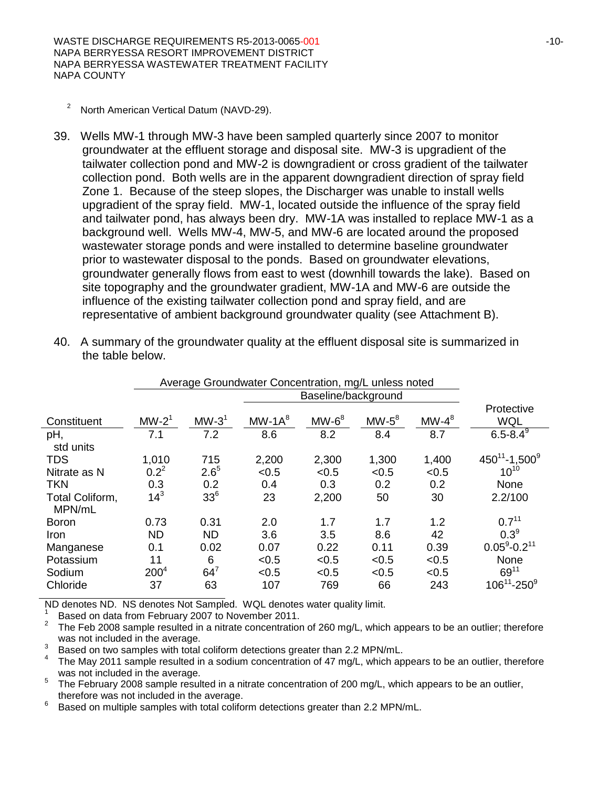WASTE DISCHARGE REQUIREMENTS R5-2013-0065-001 120-10-10-2012 10-10-2013 NAPA BERRYESSA RESORT IMPROVEMENT DISTRICT NAPA BERRYESSA WASTEWATER TREATMENT FACILITY NAPA COUNTY

- <sup>2</sup> North American Vertical Datum (NAVD-29).
- 39. Wells MW-1 through MW-3 have been sampled quarterly since 2007 to monitor groundwater at the effluent storage and disposal site. MW-3 is upgradient of the tailwater collection pond and MW-2 is downgradient or cross gradient of the tailwater collection pond. Both wells are in the apparent downgradient direction of spray field Zone 1. Because of the steep slopes, the Discharger was unable to install wells upgradient of the spray field. MW-1, located outside the influence of the spray field and tailwater pond, has always been dry. MW-1A was installed to replace MW-1 as a background well. Wells MW-4, MW-5, and MW-6 are located around the proposed wastewater storage ponds and were installed to determine baseline groundwater prior to wastewater disposal to the ponds. Based on groundwater elevations, groundwater generally flows from east to west (downhill towards the lake). Based on site topography and the groundwater gradient, MW-1A and MW-6 are outside the influence of the existing tailwater collection pond and spray field, and are representative of ambient background groundwater quality (see Attachment B).

|                           | Average Groundwater Concentration, mg/L unless noted |                 |          |                     |          |          |                            |
|---------------------------|------------------------------------------------------|-----------------|----------|---------------------|----------|----------|----------------------------|
|                           |                                                      |                 |          | Baseline/background |          |          |                            |
| Constituent               | $MW-21$                                              | $MW-31$         | $MW-1A8$ | $MW-6^8$            | $MW-5^8$ | $MW-4^8$ | Protective<br><b>WQL</b>   |
| pH,                       | 7.1                                                  | 7.2             | 8.6      | 8.2                 | 8.4      | 8.7      | $6.5 - 8.4^{\overline{9}}$ |
| std units                 |                                                      |                 |          |                     |          |          |                            |
| <b>TDS</b>                | 1,010                                                | 715             | 2,200    | 2,300               | 1,300    | 1,400    | $450^{11} - 1,500^9$       |
| Nitrate as N              | $0.2^2$                                              | $2.6^{5}$       | < 0.5    | < 0.5               | < 0.5    | < 0.5    | $10^{10}$                  |
| <b>TKN</b>                | 0.3                                                  | 0.2             | 0.4      | 0.3                 | 0.2      | 0.2      | None                       |
| Total Coliform,<br>MPN/mL | $14^{3}$                                             | 33 <sup>6</sup> | 23       | 2,200               | 50       | 30       | 2.2/100                    |
| <b>Boron</b>              | 0.73                                                 | 0.31            | 2.0      | 1.7                 | 1.7      | 1.2      | $0.7^{11}$                 |
| <b>Iron</b>               | <b>ND</b>                                            | <b>ND</b>       | 3.6      | 3.5                 | 8.6      | 42       | $0.3^9$                    |
| Manganese                 | 0.1                                                  | 0.02            | 0.07     | 0.22                | 0.11     | 0.39     | $0.05^9 - 0.2^{11}$        |
| Potassium                 | 11                                                   | 6               | < 0.5    | < 0.5               | < 0.5    | < 0.5    | <b>None</b>                |
| Sodium                    | $200^4$                                              | $64^7$          | < 0.5    | < 0.5               | < 0.5    | < 0.5    | $69^{11}$                  |
| Chloride                  | 37                                                   | 63              | 107      | 769                 | 66       | 243      | $106^{11} - 250^9$         |

40. A summary of the groundwater quality at the effluent disposal site is summarized in the table below.

ND denotes ND. NS denotes Not Sampled. WQL denotes water quality limit.<br><sup>1</sup> Based on data from February 2007 to November 2011.

<sup>2</sup> The Feb 2008 sample resulted in a nitrate concentration of 260 mg/L, which appears to be an outlier; therefore was not included in the average.

Based on two samples with total coliform detections greater than 2.2 MPN/mL.<br>
<sup>4</sup> The May 2011 sample resulted in a sodium concentration of 47 mg/L, which appears to be an outlier, therefore was not included in the averag

<sup>5</sup> The February 2008 sample resulted in a nitrate concentration of 200 mg/L, which appears to be an outlier, therefore was not included in the average.

therefore was not included in the average. 6 Based on multiple samples with total coliform detections greater than 2.2 MPN/mL.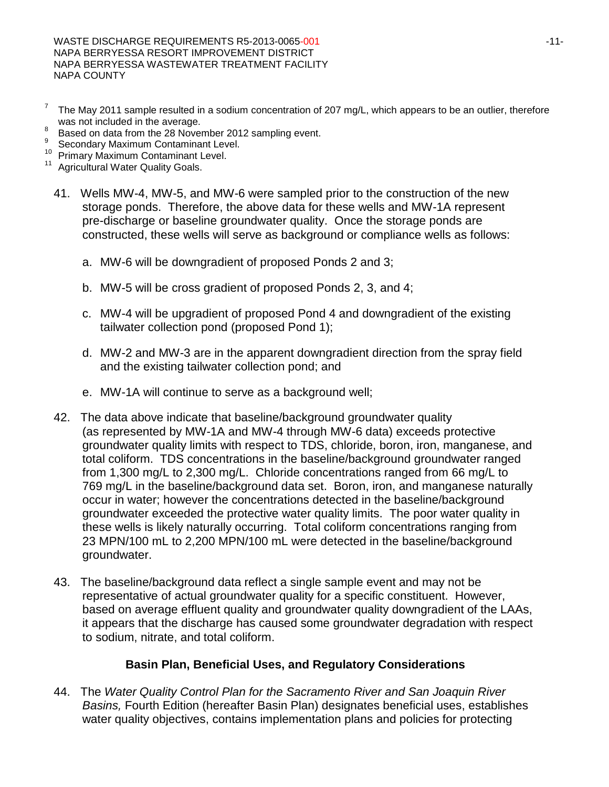WASTE DISCHARGE REQUIREMENTS R5-2013-0065-001 -11-NAPA BERRYESSA RESORT IMPROVEMENT DISTRICT NAPA BERRYESSA WASTEWATER TREATMENT FACILITY NAPA COUNTY

- <sup>7</sup> The May 2011 sample resulted in a sodium concentration of 207 mg/L, which appears to be an outlier, therefore was not included in the average.
- <sup>8</sup> Based on data from the 28 November 2012 sampling event.<br><sup>9</sup> Secondary Maximum Contaminant Level.<br><sup>10</sup> Primary Maximum Contaminant Level.<br><sup>11</sup> Agricultural Water Quality Goals.
- 
- 
- 
- 41. Wells MW-4, MW-5, and MW-6 were sampled prior to the construction of the new storage ponds. Therefore, the above data for these wells and MW-1A represent pre-discharge or baseline groundwater quality. Once the storage ponds are constructed, these wells will serve as background or compliance wells as follows:
	- a. MW-6 will be downgradient of proposed Ponds 2 and 3;
	- b. MW-5 will be cross gradient of proposed Ponds 2, 3, and 4;
	- c. MW-4 will be upgradient of proposed Pond 4 and downgradient of the existing tailwater collection pond (proposed Pond 1);
	- d. MW-2 and MW-3 are in the apparent downgradient direction from the spray field and the existing tailwater collection pond; and
	- e. MW-1A will continue to serve as a background well;
- 42. The data above indicate that baseline/background groundwater quality (as represented by MW-1A and MW-4 through MW-6 data) exceeds protective groundwater quality limits with respect to TDS, chloride, boron, iron, manganese, and total coliform. TDS concentrations in the baseline/background groundwater ranged from 1,300 mg/L to 2,300 mg/L. Chloride concentrations ranged from 66 mg/L to 769 mg/L in the baseline/background data set. Boron, iron, and manganese naturally occur in water; however the concentrations detected in the baseline/background groundwater exceeded the protective water quality limits. The poor water quality in these wells is likely naturally occurring. Total coliform concentrations ranging from 23 MPN/100 mL to 2,200 MPN/100 mL were detected in the baseline/background groundwater.
- 43. The baseline/background data reflect a single sample event and may not be representative of actual groundwater quality for a specific constituent. However, based on average effluent quality and groundwater quality downgradient of the LAAs, it appears that the discharge has caused some groundwater degradation with respect to sodium, nitrate, and total coliform.

#### **Basin Plan, Beneficial Uses, and Regulatory Considerations**

44. The *Water Quality Control Plan for the Sacramento River and San Joaquin River Basins,* Fourth Edition (hereafter Basin Plan) designates beneficial uses, establishes water quality objectives, contains implementation plans and policies for protecting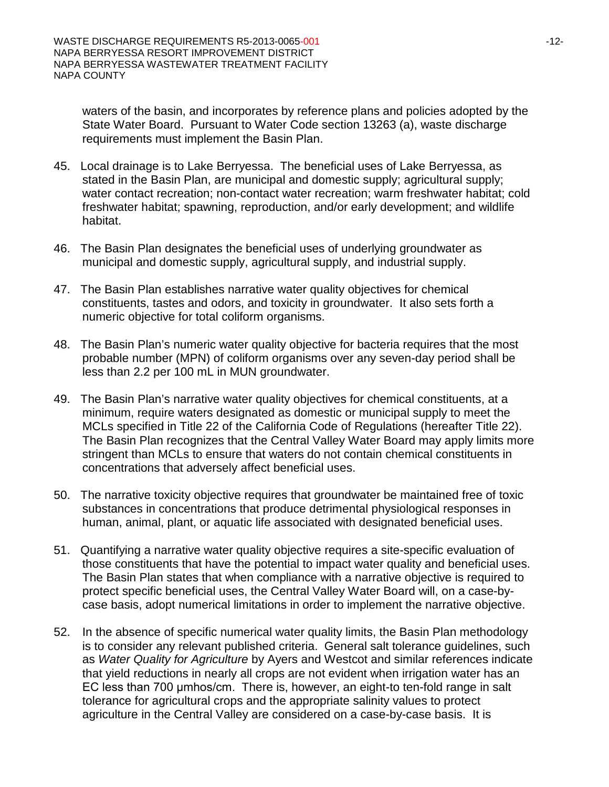waters of the basin, and incorporates by reference plans and policies adopted by the State Water Board. Pursuant to Water Code section 13263 (a), waste discharge requirements must implement the Basin Plan.

- 45. Local drainage is to Lake Berryessa. The beneficial uses of Lake Berryessa, as stated in the Basin Plan, are municipal and domestic supply; agricultural supply; water contact recreation; non-contact water recreation; warm freshwater habitat; cold freshwater habitat; spawning, reproduction, and/or early development; and wildlife habitat.
- 46. The Basin Plan designates the beneficial uses of underlying groundwater as municipal and domestic supply, agricultural supply, and industrial supply.
- 47. The Basin Plan establishes narrative water quality objectives for chemical constituents, tastes and odors, and toxicity in groundwater. It also sets forth a numeric objective for total coliform organisms.
- 48. The Basin Plan's numeric water quality objective for bacteria requires that the most probable number (MPN) of coliform organisms over any seven-day period shall be less than 2.2 per 100 mL in MUN groundwater.
- 49. The Basin Plan's narrative water quality objectives for chemical constituents, at a minimum, require waters designated as domestic or municipal supply to meet the MCLs specified in Title 22 of the California Code of Regulations (hereafter Title 22). The Basin Plan recognizes that the Central Valley Water Board may apply limits more stringent than MCLs to ensure that waters do not contain chemical constituents in concentrations that adversely affect beneficial uses.
- 50. The narrative toxicity objective requires that groundwater be maintained free of toxic substances in concentrations that produce detrimental physiological responses in human, animal, plant, or aquatic life associated with designated beneficial uses.
- 51. Quantifying a narrative water quality objective requires a site-specific evaluation of those constituents that have the potential to impact water quality and beneficial uses. The Basin Plan states that when compliance with a narrative objective is required to protect specific beneficial uses, the Central Valley Water Board will, on a case-bycase basis, adopt numerical limitations in order to implement the narrative objective.
- 52. In the absence of specific numerical water quality limits, the Basin Plan methodology is to consider any relevant published criteria. General salt tolerance guidelines, such as *Water Quality for Agriculture* by Ayers and Westcot and similar references indicate that yield reductions in nearly all crops are not evident when irrigation water has an EC less than 700 μmhos/cm. There is, however, an eight-to ten-fold range in salt tolerance for agricultural crops and the appropriate salinity values to protect agriculture in the Central Valley are considered on a case-by-case basis. It is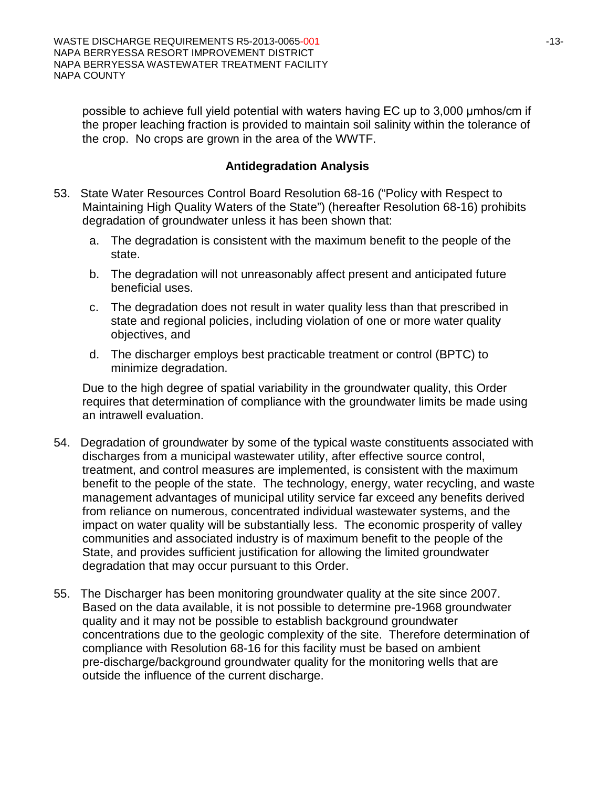possible to achieve full yield potential with waters having EC up to 3,000 μmhos/cm if the proper leaching fraction is provided to maintain soil salinity within the tolerance of the crop. No crops are grown in the area of the WWTF.

### **Antidegradation Analysis**

- 53. State Water Resources Control Board Resolution 68-16 ("Policy with Respect to Maintaining High Quality Waters of the State") (hereafter Resolution 68-16) prohibits degradation of groundwater unless it has been shown that:
	- a. The degradation is consistent with the maximum benefit to the people of the state.
	- b. The degradation will not unreasonably affect present and anticipated future beneficial uses.
	- c. The degradation does not result in water quality less than that prescribed in state and regional policies, including violation of one or more water quality objectives, and
	- d. The discharger employs best practicable treatment or control (BPTC) to minimize degradation.

Due to the high degree of spatial variability in the groundwater quality, this Order requires that determination of compliance with the groundwater limits be made using an intrawell evaluation.

- 54. Degradation of groundwater by some of the typical waste constituents associated with discharges from a municipal wastewater utility, after effective source control, treatment, and control measures are implemented, is consistent with the maximum benefit to the people of the state. The technology, energy, water recycling, and waste management advantages of municipal utility service far exceed any benefits derived from reliance on numerous, concentrated individual wastewater systems, and the impact on water quality will be substantially less.The economic prosperity of valley communities and associated industry is of maximum benefit to the people of the State, and provides sufficient justification for allowing the limited groundwater degradation that may occur pursuant to this Order.
- 55. The Discharger has been monitoring groundwater quality at the site since 2007. Based on the data available, it is not possible to determine pre-1968 groundwater quality and it may not be possible to establish background groundwater concentrations due to the geologic complexity of the site. Therefore determination of compliance with Resolution 68-16 for this facility must be based on ambient pre-discharge/background groundwater quality for the monitoring wells that are outside the influence of the current discharge.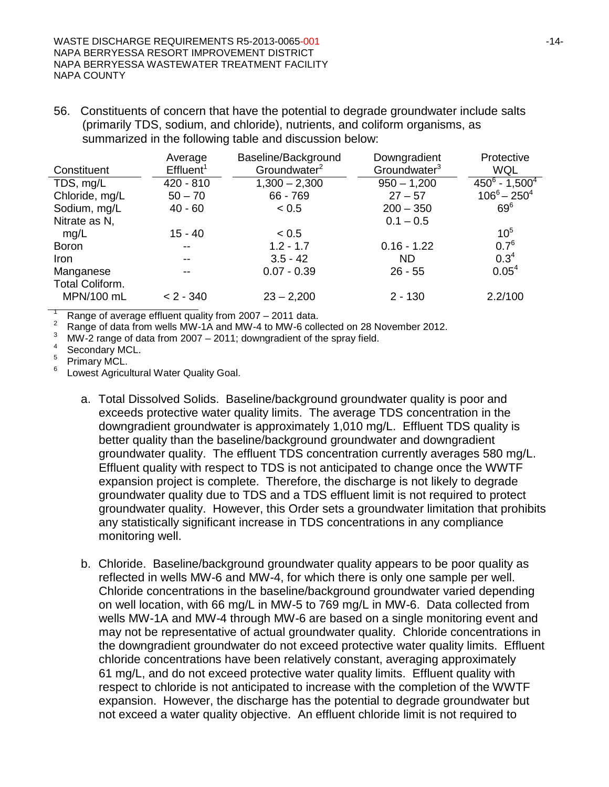56. Constituents of concern that have the potential to degrade groundwater include salts (primarily TDS, sodium, and chloride), nutrients, and coliform organisms, as summarized in the following table and discussion below:

|                               | Average<br>Effluent <sup>1</sup> | Baseline/Background<br>Groundwater <sup>2</sup> | Downgradient<br>Groundwater <sup>3</sup> | Protective<br><b>WQL</b> |
|-------------------------------|----------------------------------|-------------------------------------------------|------------------------------------------|--------------------------|
| Constituent                   |                                  |                                                 |                                          |                          |
| TDS, mg/L                     | $420 - 810$                      | $1,300 - 2,300$                                 | $950 - 1,200$                            | $450^6 - 1,500^4$        |
| Chloride, mg/L                | $50 - 70$                        | 66 - 769                                        | $27 - 57$                                | $106^6 - 250^4$          |
| Sodium, mg/L                  | $40 - 60$                        | < 0.5                                           | $200 - 350$                              | $69^6$                   |
| Nitrate as N,                 |                                  |                                                 | $0.1 - 0.5$                              |                          |
| mg/L                          | 15 - 40                          | ~< 0.5                                          |                                          | $10^{5}$                 |
| <b>Boron</b>                  | $- -$                            | $1.2 - 1.7$                                     | $0.16 - 1.22$                            | $0.7^6$                  |
| <b>Iron</b>                   | $- -$                            | $3.5 - 42$                                      | ND.                                      | $0.3^{4}$                |
| Manganese                     | $\overline{\phantom{a}}$         | $0.07 - 0.39$                                   | $26 - 55$                                | 0.05 <sup>4</sup>        |
| Total Coliform.<br>MPN/100 mL | $< 2 - 340$                      | $23 - 2,200$                                    | $2 - 130$                                | 2.2/100                  |

<sup>1</sup> Range of average effluent quality from 2007 – 2011 data.<br><sup>2</sup> Range of data from wells MW-1A and MW-4 to MW-6 collected on 28 November 2012.

MW-2 range of data from 2007 – 2011; downgradient of the spray field.<br>Secondary MCL.

Primary MCL.<br>Lowest Agricultural Water Quality Goal.

- a. Total Dissolved Solids. Baseline/background groundwater quality is poor and exceeds protective water quality limits. The average TDS concentration in the downgradient groundwater is approximately 1,010 mg/L. Effluent TDS quality is better quality than the baseline/background groundwater and downgradient groundwater quality. The effluent TDS concentration currently averages 580 mg/L. Effluent quality with respect to TDS is not anticipated to change once the WWTF expansion project is complete. Therefore, the discharge is not likely to degrade groundwater quality due to TDS and a TDS effluent limit is not required to protect groundwater quality. However, this Order sets a groundwater limitation that prohibits any statistically significant increase in TDS concentrations in any compliance monitoring well.
- b. Chloride. Baseline/background groundwater quality appears to be poor quality as reflected in wells MW-6 and MW-4, for which there is only one sample per well. Chloride concentrations in the baseline/background groundwater varied depending on well location, with 66 mg/L in MW-5 to 769 mg/L in MW-6. Data collected from wells MW-1A and MW-4 through MW-6 are based on a single monitoring event and may not be representative of actual groundwater quality. Chloride concentrations in the downgradient groundwater do not exceed protective water quality limits. Effluent chloride concentrations have been relatively constant, averaging approximately 61 mg/L, and do not exceed protective water quality limits. Effluent quality with respect to chloride is not anticipated to increase with the completion of the WWTF expansion. However, the discharge has the potential to degrade groundwater but not exceed a water quality objective. An effluent chloride limit is not required to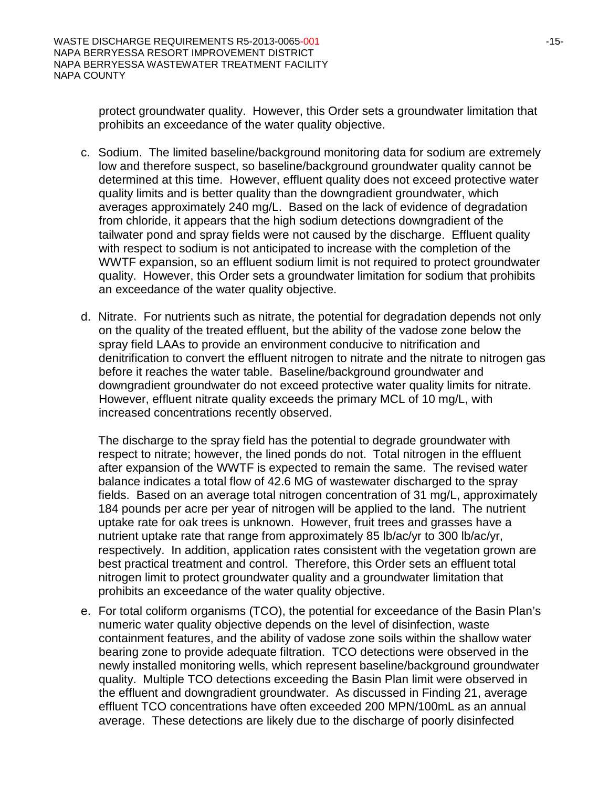protect groundwater quality. However, this Order sets a groundwater limitation that prohibits an exceedance of the water quality objective.

- c. Sodium. The limited baseline/background monitoring data for sodium are extremely low and therefore suspect, so baseline/background groundwater quality cannot be determined at this time. However, effluent quality does not exceed protective water quality limits and is better quality than the downgradient groundwater, which averages approximately 240 mg/L. Based on the lack of evidence of degradation from chloride, it appears that the high sodium detections downgradient of the tailwater pond and spray fields were not caused by the discharge. Effluent quality with respect to sodium is not anticipated to increase with the completion of the WWTF expansion, so an effluent sodium limit is not required to protect groundwater quality. However, this Order sets a groundwater limitation for sodium that prohibits an exceedance of the water quality objective.
- d. Nitrate. For nutrients such as nitrate, the potential for degradation depends not only on the quality of the treated effluent, but the ability of the vadose zone below the spray field LAAs to provide an environment conducive to nitrification and denitrification to convert the effluent nitrogen to nitrate and the nitrate to nitrogen gas before it reaches the water table. Baseline/background groundwater and downgradient groundwater do not exceed protective water quality limits for nitrate. However, effluent nitrate quality exceeds the primary MCL of 10 mg/L, with increased concentrations recently observed.

The discharge to the spray field has the potential to degrade groundwater with respect to nitrate; however, the lined ponds do not. Total nitrogen in the effluent after expansion of the WWTF is expected to remain the same. The revised water balance indicates a total flow of 42.6 MG of wastewater discharged to the spray fields. Based on an average total nitrogen concentration of 31 mg/L, approximately 184 pounds per acre per year of nitrogen will be applied to the land. The nutrient uptake rate for oak trees is unknown. However, fruit trees and grasses have a nutrient uptake rate that range from approximately 85 lb/ac/yr to 300 lb/ac/yr, respectively. In addition, application rates consistent with the vegetation grown are best practical treatment and control. Therefore, this Order sets an effluent total nitrogen limit to protect groundwater quality and a groundwater limitation that prohibits an exceedance of the water quality objective.

e. For total coliform organisms (TCO), the potential for exceedance of the Basin Plan's numeric water quality objective depends on the level of disinfection, waste containment features, and the ability of vadose zone soils within the shallow water bearing zone to provide adequate filtration. TCO detections were observed in the newly installed monitoring wells, which represent baseline/background groundwater quality. Multiple TCO detections exceeding the Basin Plan limit were observed in the effluent and downgradient groundwater. As discussed in Finding 21, average effluent TCO concentrations have often exceeded 200 MPN/100mL as an annual average. These detections are likely due to the discharge of poorly disinfected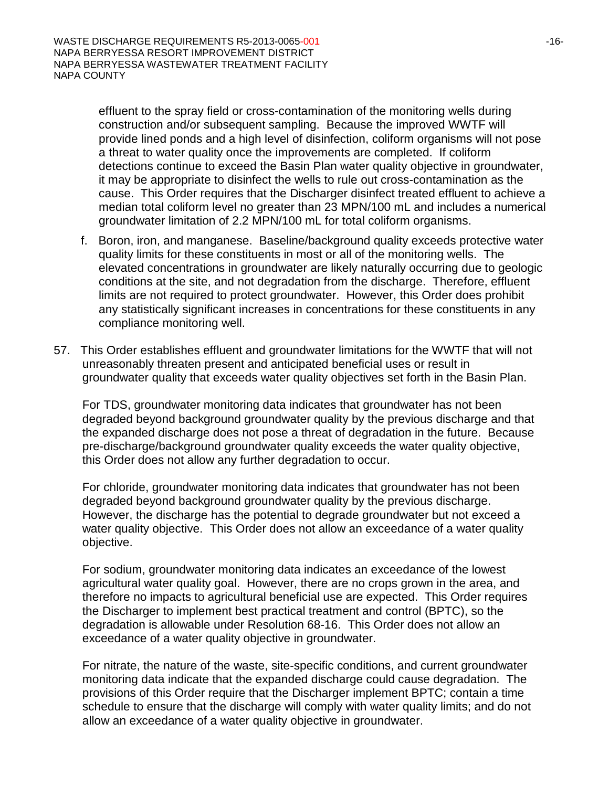effluent to the spray field or cross-contamination of the monitoring wells during construction and/or subsequent sampling. Because the improved WWTF will provide lined ponds and a high level of disinfection, coliform organisms will not pose a threat to water quality once the improvements are completed. If coliform detections continue to exceed the Basin Plan water quality objective in groundwater, it may be appropriate to disinfect the wells to rule out cross-contamination as the cause. This Order requires that the Discharger disinfect treated effluent to achieve a median total coliform level no greater than 23 MPN/100 mL and includes a numerical groundwater limitation of 2.2 MPN/100 mL for total coliform organisms.

- f. Boron, iron, and manganese. Baseline/background quality exceeds protective water quality limits for these constituents in most or all of the monitoring wells. The elevated concentrations in groundwater are likely naturally occurring due to geologic conditions at the site, and not degradation from the discharge. Therefore, effluent limits are not required to protect groundwater. However, this Order does prohibit any statistically significant increases in concentrations for these constituents in any compliance monitoring well.
- 57. This Order establishes effluent and groundwater limitations for the WWTF that will not unreasonably threaten present and anticipated beneficial uses or result in groundwater quality that exceeds water quality objectives set forth in the Basin Plan.

For TDS, groundwater monitoring data indicates that groundwater has not been degraded beyond background groundwater quality by the previous discharge and that the expanded discharge does not pose a threat of degradation in the future. Because pre-discharge/background groundwater quality exceeds the water quality objective, this Order does not allow any further degradation to occur.

For chloride, groundwater monitoring data indicates that groundwater has not been degraded beyond background groundwater quality by the previous discharge. However, the discharge has the potential to degrade groundwater but not exceed a water quality objective. This Order does not allow an exceedance of a water quality objective.

For sodium, groundwater monitoring data indicates an exceedance of the lowest agricultural water quality goal. However, there are no crops grown in the area, and therefore no impacts to agricultural beneficial use are expected. This Order requires the Discharger to implement best practical treatment and control (BPTC), so the degradation is allowable under Resolution 68-16. This Order does not allow an exceedance of a water quality objective in groundwater.

For nitrate, the nature of the waste, site-specific conditions, and current groundwater monitoring data indicate that the expanded discharge could cause degradation. The provisions of this Order require that the Discharger implement BPTC; contain a time schedule to ensure that the discharge will comply with water quality limits; and do not allow an exceedance of a water quality objective in groundwater.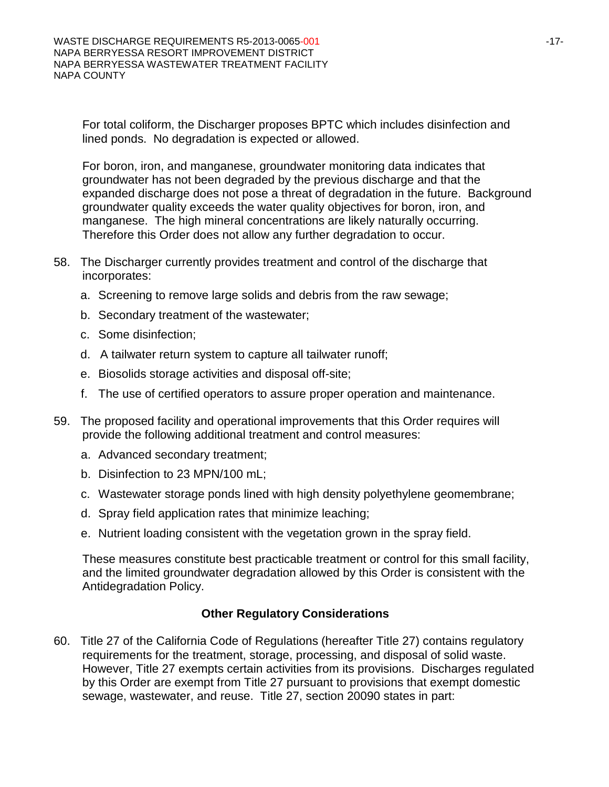For total coliform, the Discharger proposes BPTC which includes disinfection and lined ponds. No degradation is expected or allowed.

For boron, iron, and manganese, groundwater monitoring data indicates that groundwater has not been degraded by the previous discharge and that the expanded discharge does not pose a threat of degradation in the future. Background groundwater quality exceeds the water quality objectives for boron, iron, and manganese. The high mineral concentrations are likely naturally occurring. Therefore this Order does not allow any further degradation to occur.

- 58. The Discharger currently provides treatment and control of the discharge that incorporates:
	- a. Screening to remove large solids and debris from the raw sewage;
	- b. Secondary treatment of the wastewater;
	- c. Some disinfection;
	- d. A tailwater return system to capture all tailwater runoff;
	- e. Biosolids storage activities and disposal off-site;
	- f. The use of certified operators to assure proper operation and maintenance.
- 59. The proposed facility and operational improvements that this Order requires will provide the following additional treatment and control measures:
	- a. Advanced secondary treatment;
	- b. Disinfection to 23 MPN/100 mL;
	- c. Wastewater storage ponds lined with high density polyethylene geomembrane;
	- d. Spray field application rates that minimize leaching;
	- e. Nutrient loading consistent with the vegetation grown in the spray field.

These measures constitute best practicable treatment or control for this small facility, and the limited groundwater degradation allowed by this Order is consistent with the Antidegradation Policy.

#### **Other Regulatory Considerations**

60. Title 27 of the California Code of Regulations (hereafter Title 27) contains regulatory requirements for the treatment, storage, processing, and disposal of solid waste. However, Title 27 exempts certain activities from its provisions. Discharges regulated by this Order are exempt from Title 27 pursuant to provisions that exempt domestic sewage, wastewater, and reuse. Title 27, section 20090 states in part: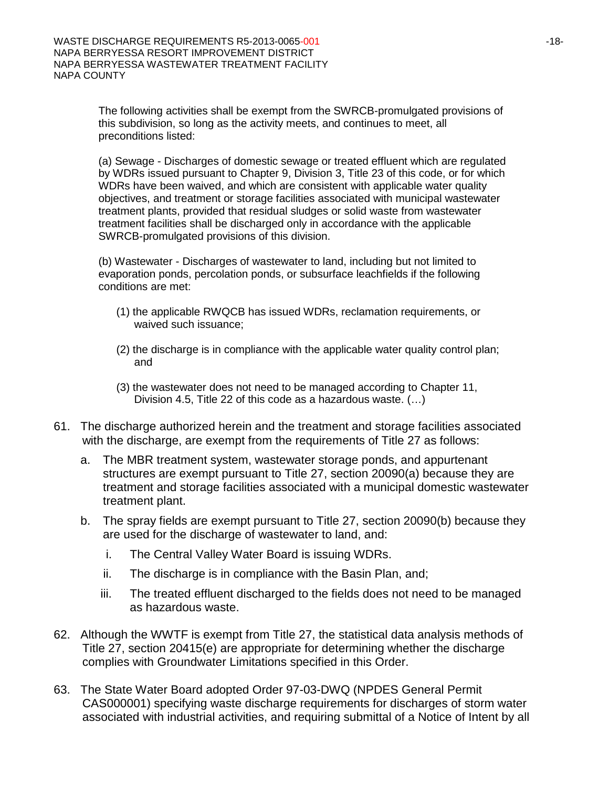The following activities shall be exempt from the SWRCB-promulgated provisions of this subdivision, so long as the activity meets, and continues to meet, all preconditions listed:

(a) Sewage - Discharges of domestic sewage or treated effluent which are regulated by WDRs issued pursuant to Chapter 9, Division 3, Title 23 of this code, or for which WDRs have been waived, and which are consistent with applicable water quality objectives, and treatment or storage facilities associated with municipal wastewater treatment plants, provided that residual sludges or solid waste from wastewater treatment facilities shall be discharged only in accordance with the applicable SWRCB-promulgated provisions of this division.

(b) Wastewater - Discharges of wastewater to land, including but not limited to evaporation ponds, percolation ponds, or subsurface leachfields if the following conditions are met:

- (1) the applicable RWQCB has issued WDRs, reclamation requirements, or waived such issuance;
- (2) the discharge is in compliance with the applicable water quality control plan; and
- (3) the wastewater does not need to be managed according to Chapter 11, Division 4.5, Title 22 of this code as a hazardous waste. (…)
- 61. The discharge authorized herein and the treatment and storage facilities associated with the discharge, are exempt from the requirements of Title 27 as follows:
	- a. The MBR treatment system, wastewater storage ponds, and appurtenant structures are exempt pursuant to Title 27, section 20090(a) because they are treatment and storage facilities associated with a municipal domestic wastewater treatment plant.
	- b. The spray fields are exempt pursuant to Title 27, section 20090(b) because they are used for the discharge of wastewater to land, and:
		- i. The Central Valley Water Board is issuing WDRs.
		- ii. The discharge is in compliance with the Basin Plan, and;
		- iii. The treated effluent discharged to the fields does not need to be managed as hazardous waste.
- 62. Although the WWTF is exempt from Title 27, the statistical data analysis methods of Title 27, section 20415(e) are appropriate for determining whether the discharge complies with Groundwater Limitations specified in this Order.
- 63. The State Water Board adopted Order 97-03-DWQ (NPDES General Permit CAS000001) specifying waste discharge requirements for discharges of storm water associated with industrial activities, and requiring submittal of a Notice of Intent by all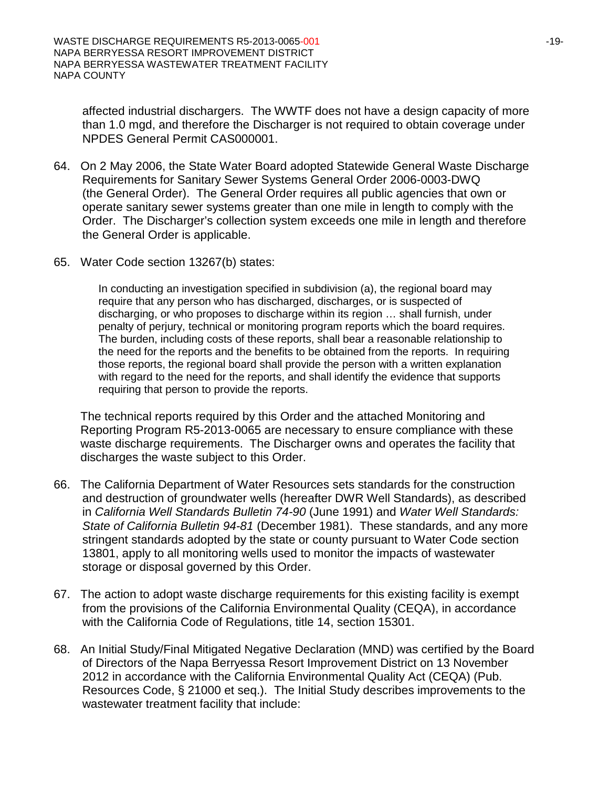affected industrial dischargers. The WWTF does not have a design capacity of more than 1.0 mgd, and therefore the Discharger is not required to obtain coverage under NPDES General Permit CAS000001.

- 64. On 2 May 2006, the State Water Board adopted Statewide General Waste Discharge Requirements for Sanitary Sewer Systems General Order 2006-0003-DWQ (the General Order). The General Order requires all public agencies that own or operate sanitary sewer systems greater than one mile in length to comply with the Order. The Discharger's collection system exceeds one mile in length and therefore the General Order is applicable.
- 65. Water Code section 13267(b) states:

In conducting an investigation specified in subdivision (a), the regional board may require that any person who has discharged, discharges, or is suspected of discharging, or who proposes to discharge within its region … shall furnish, under penalty of perjury, technical or monitoring program reports which the board requires. The burden, including costs of these reports, shall bear a reasonable relationship to the need for the reports and the benefits to be obtained from the reports. In requiring those reports, the regional board shall provide the person with a written explanation with regard to the need for the reports, and shall identify the evidence that supports requiring that person to provide the reports.

The technical reports required by this Order and the attached Monitoring and Reporting Program R5-2013-0065 are necessary to ensure compliance with these waste discharge requirements. The Discharger owns and operates the facility that discharges the waste subject to this Order.

- 66. The California Department of Water Resources sets standards for the construction and destruction of groundwater wells (hereafter DWR Well Standards), as described in *California Well Standards Bulletin 74-90* (June 1991) and *Water Well Standards: State of California Bulletin 94-81* (December 1981). These standards, and any more stringent standards adopted by the state or county pursuant to Water Code section 13801, apply to all monitoring wells used to monitor the impacts of wastewater storage or disposal governed by this Order.
- 67. The action to adopt waste discharge requirements for this existing facility is exempt from the provisions of the California Environmental Quality (CEQA), in accordance with the California Code of Regulations, title 14, section 15301.
- 68. An Initial Study/Final Mitigated Negative Declaration (MND) was certified by the Board of Directors of the Napa Berryessa Resort Improvement District on 13 November 2012 in accordance with the California Environmental Quality Act (CEQA) (Pub. Resources Code, § 21000 et seq.). The Initial Study describes improvements to the wastewater treatment facility that include: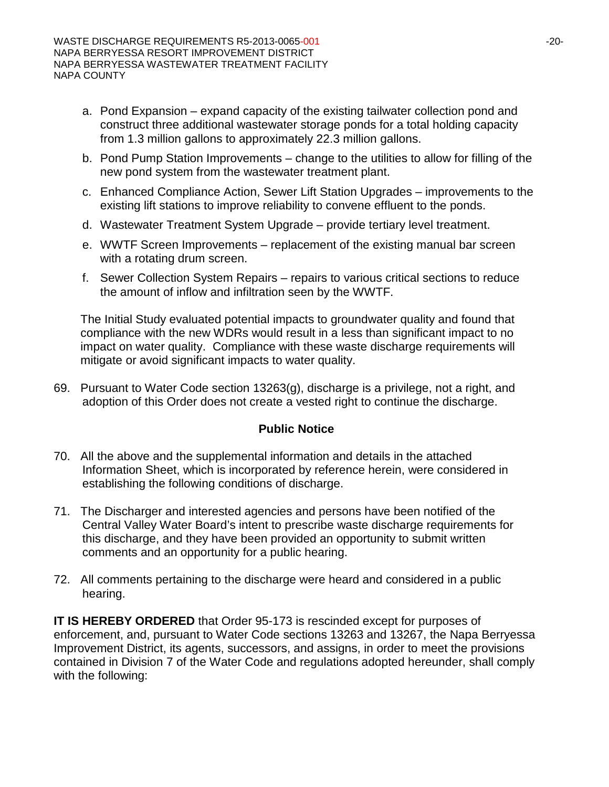- a. Pond Expansion expand capacity of the existing tailwater collection pond and construct three additional wastewater storage ponds for a total holding capacity from 1.3 million gallons to approximately 22.3 million gallons.
- b. Pond Pump Station Improvements change to the utilities to allow for filling of the new pond system from the wastewater treatment plant.
- c. Enhanced Compliance Action, Sewer Lift Station Upgrades improvements to the existing lift stations to improve reliability to convene effluent to the ponds.
- d. Wastewater Treatment System Upgrade provide tertiary level treatment.
- e. WWTF Screen Improvements replacement of the existing manual bar screen with a rotating drum screen.
- f. Sewer Collection System Repairs repairs to various critical sections to reduce the amount of inflow and infiltration seen by the WWTF.

The Initial Study evaluated potential impacts to groundwater quality and found that compliance with the new WDRs would result in a less than significant impact to no impact on water quality. Compliance with these waste discharge requirements will mitigate or avoid significant impacts to water quality.

69. Pursuant to Water Code section 13263(g), discharge is a privilege, not a right, and adoption of this Order does not create a vested right to continue the discharge.

# **Public Notice**

- 70. All the above and the supplemental information and details in the attached Information Sheet, which is incorporated by reference herein, were considered in establishing the following conditions of discharge.
- 71. The Discharger and interested agencies and persons have been notified of the Central Valley Water Board's intent to prescribe waste discharge requirements for this discharge, and they have been provided an opportunity to submit written comments and an opportunity for a public hearing.
- 72. All comments pertaining to the discharge were heard and considered in a public hearing.

**IT IS HEREBY ORDERED** that Order 95-173 is rescinded except for purposes of enforcement, and, pursuant to Water Code sections 13263 and 13267, the Napa Berryessa Improvement District, its agents, successors, and assigns, in order to meet the provisions contained in Division 7 of the Water Code and regulations adopted hereunder, shall comply with the following: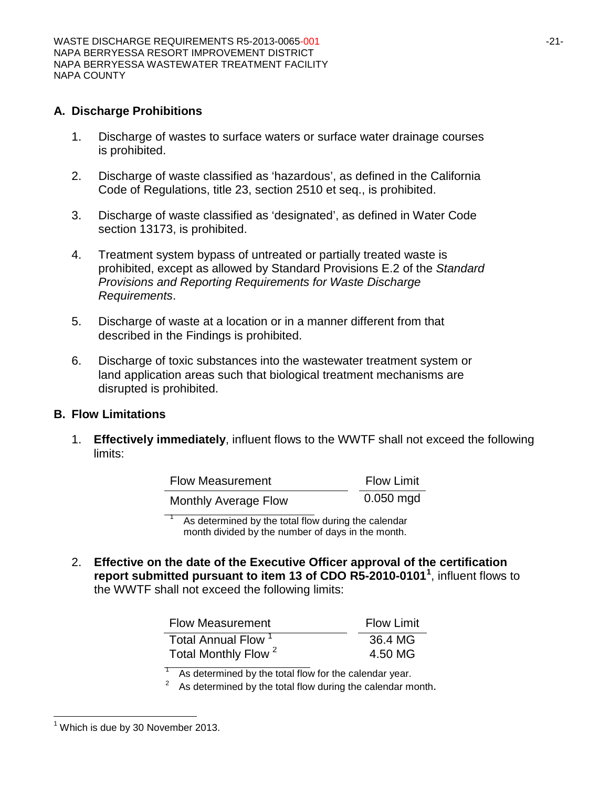### **A. Discharge Prohibitions**

- 1. Discharge of wastes to surface waters or surface water drainage courses is prohibited.
- 2. Discharge of waste classified as 'hazardous', as defined in the California Code of Regulations, title 23, section 2510 et seq., is prohibited.
- 3. Discharge of waste classified as 'designated', as defined in Water Code section 13173, is prohibited.
- 4. Treatment system bypass of untreated or partially treated waste is prohibited, except as allowed by Standard Provisions E.2 of the *Standard Provisions and Reporting Requirements for Waste Discharge Requirements*.
- 5. Discharge of waste at a location or in a manner different from that described in the Findings is prohibited.
- 6. Discharge of toxic substances into the wastewater treatment system or land application areas such that biological treatment mechanisms are disrupted is prohibited.

#### **B. Flow Limitations**

1. **Effectively immediately**, influent flows to the WWTF shall not exceed the following limits:

| <b>Flow Measurement</b>     | <b>Flow Limit</b> |
|-----------------------------|-------------------|
| <b>Monthly Average Flow</b> | $0.050$ mgd       |

As determined by the total flow during the calendar month divided by the number of days in the month.

2. **Effective on the date of the Executive Officer approval of the certification report submitted pursuant to item 13 of CDO R5-2010-0101[1](#page-0-0)** , influent flows to the WWTF shall not exceed the following limits:

| <b>Flow Measurement</b>         | <b>Flow Limit</b> |
|---------------------------------|-------------------|
| Total Annual Flow <sup>1</sup>  | 36.4 MG           |
| Total Monthly Flow <sup>2</sup> | 4.50 MG           |

As determined by the total flow for the calendar year.

 $2^2$  As determined by the total flow during the calendar month.

 $<sup>1</sup>$  Which is due by 30 November 2013.</sup>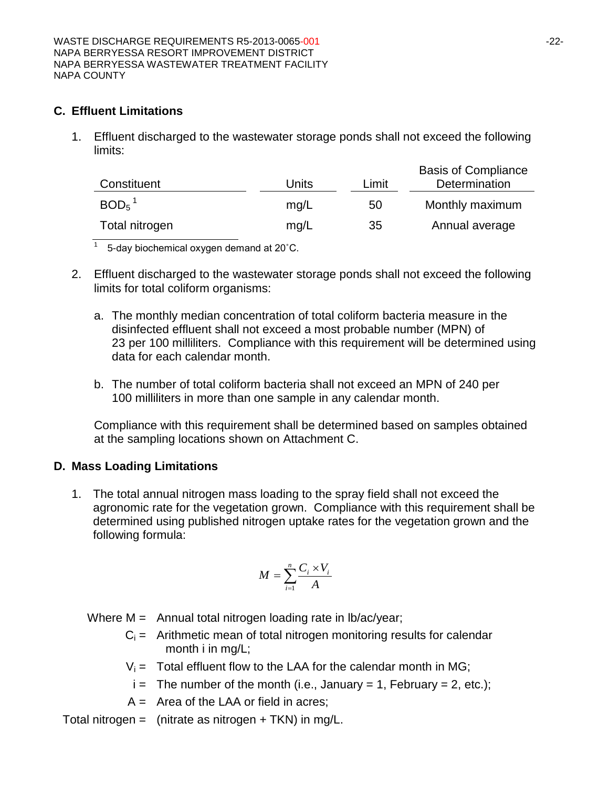#### **C. Effluent Limitations**

1. Effluent discharged to the wastewater storage ponds shall not exceed the following limits:

| Constituent         | Units | Limit | <b>Basis of Compliance</b><br>Determination |
|---------------------|-------|-------|---------------------------------------------|
| $BOD5$ <sup>1</sup> | mq/L  | 50    | Monthly maximum                             |
| Total nitrogen      | mg/L  | 35    | Annual average                              |

 $\frac{1}{1}$  5-day biochemical oxygen demand at 20 $^{\circ}$ C.

- 2. Effluent discharged to the wastewater storage ponds shall not exceed the following limits for total coliform organisms:
	- a. The monthly median concentration of total coliform bacteria measure in the disinfected effluent shall not exceed a most probable number (MPN) of 23 per 100 milliliters. Compliance with this requirement will be determined using data for each calendar month.
	- b. The number of total coliform bacteria shall not exceed an MPN of 240 per 100 milliliters in more than one sample in any calendar month.

Compliance with this requirement shall be determined based on samples obtained at the sampling locations shown on Attachment C.

#### **D. Mass Loading Limitations**

1. The total annual nitrogen mass loading to the spray field shall not exceed the agronomic rate for the vegetation grown. Compliance with this requirement shall be determined using published nitrogen uptake rates for the vegetation grown and the following formula:

$$
M = \sum_{i=1}^{n} \frac{C_i \times V_i}{A}
$$

Where  $M =$  Annual total nitrogen loading rate in  $lb/ac/year$ ;

- $C_i$  = Arithmetic mean of total nitrogen monitoring results for calendar month i in mg/L;
- $V_i$  = Total effluent flow to the LAA for the calendar month in MG;
- $i =$  The number of the month (i.e., January = 1, February = 2, etc.);
- $A =$  Area of the LAA or field in acres;

Total nitrogen = (nitrate as nitrogen  $+$  TKN) in mg/L.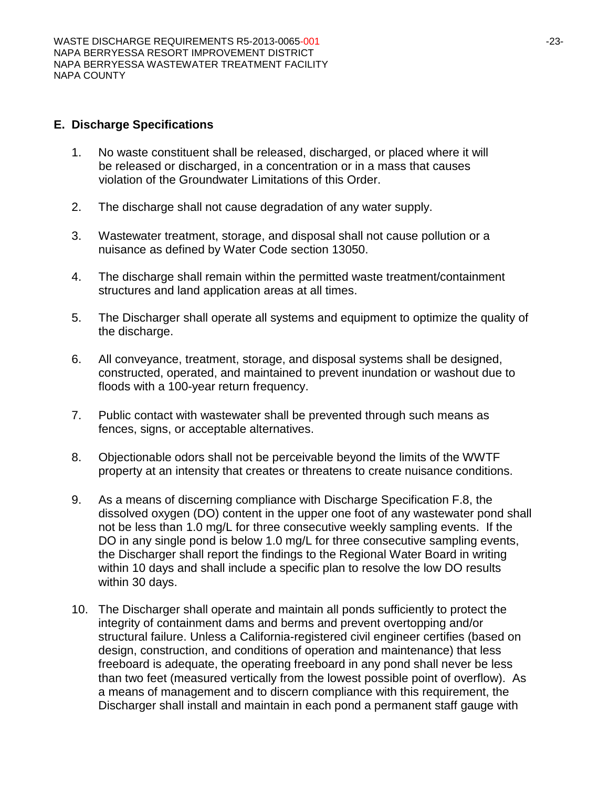#### **E. Discharge Specifications**

- 1. No waste constituent shall be released, discharged, or placed where it will be released or discharged, in a concentration or in a mass that causes violation of the Groundwater Limitations of this Order.
- 2. The discharge shall not cause degradation of any water supply.
- 3. Wastewater treatment, storage, and disposal shall not cause pollution or a nuisance as defined by Water Code section 13050.
- 4. The discharge shall remain within the permitted waste treatment/containment structures and land application areas at all times.
- 5. The Discharger shall operate all systems and equipment to optimize the quality of the discharge.
- 6. All conveyance, treatment, storage, and disposal systems shall be designed, constructed, operated, and maintained to prevent inundation or washout due to floods with a 100-year return frequency.
- 7. Public contact with wastewater shall be prevented through such means as fences, signs, or acceptable alternatives.
- 8. Objectionable odors shall not be perceivable beyond the limits of the WWTF property at an intensity that creates or threatens to create nuisance conditions.
- 9. As a means of discerning compliance with Discharge Specification F.8, the dissolved oxygen (DO) content in the upper one foot of any wastewater pond shall not be less than 1.0 mg/L for three consecutive weekly sampling events. If the DO in any single pond is below 1.0 mg/L for three consecutive sampling events, the Discharger shall report the findings to the Regional Water Board in writing within 10 days and shall include a specific plan to resolve the low DO results within 30 days.
- 10. The Discharger shall operate and maintain all ponds sufficiently to protect the integrity of containment dams and berms and prevent overtopping and/or structural failure. Unless a California-registered civil engineer certifies (based on design, construction, and conditions of operation and maintenance) that less freeboard is adequate, the operating freeboard in any pond shall never be less than two feet (measured vertically from the lowest possible point of overflow). As a means of management and to discern compliance with this requirement, the Discharger shall install and maintain in each pond a permanent staff gauge with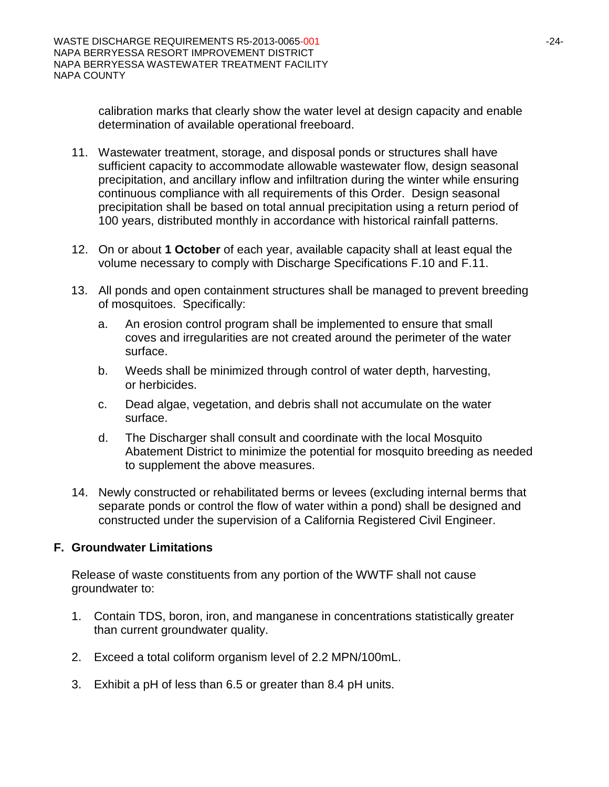calibration marks that clearly show the water level at design capacity and enable determination of available operational freeboard.

- 11. Wastewater treatment, storage, and disposal ponds or structures shall have sufficient capacity to accommodate allowable wastewater flow, design seasonal precipitation, and ancillary inflow and infiltration during the winter while ensuring continuous compliance with all requirements of this Order. Design seasonal precipitation shall be based on total annual precipitation using a return period of 100 years, distributed monthly in accordance with historical rainfall patterns.
- 12. On or about **1 October** of each year, available capacity shall at least equal the volume necessary to comply with Discharge Specifications F.10 and F.11.
- 13. All ponds and open containment structures shall be managed to prevent breeding of mosquitoes. Specifically:
	- a. An erosion control program shall be implemented to ensure that small coves and irregularities are not created around the perimeter of the water surface.
	- b. Weeds shall be minimized through control of water depth, harvesting, or herbicides.
	- c. Dead algae, vegetation, and debris shall not accumulate on the water surface.
	- d. The Discharger shall consult and coordinate with the local Mosquito Abatement District to minimize the potential for mosquito breeding as needed to supplement the above measures.
- 14. Newly constructed or rehabilitated berms or levees (excluding internal berms that separate ponds or control the flow of water within a pond) shall be designed and constructed under the supervision of a California Registered Civil Engineer.

# **F. Groundwater Limitations**

Release of waste constituents from any portion of the WWTF shall not cause groundwater to:

- 1. Contain TDS, boron, iron, and manganese in concentrations statistically greater than current groundwater quality.
- 2. Exceed a total coliform organism level of 2.2 MPN/100mL.
- 3. Exhibit a pH of less than 6.5 or greater than 8.4 pH units.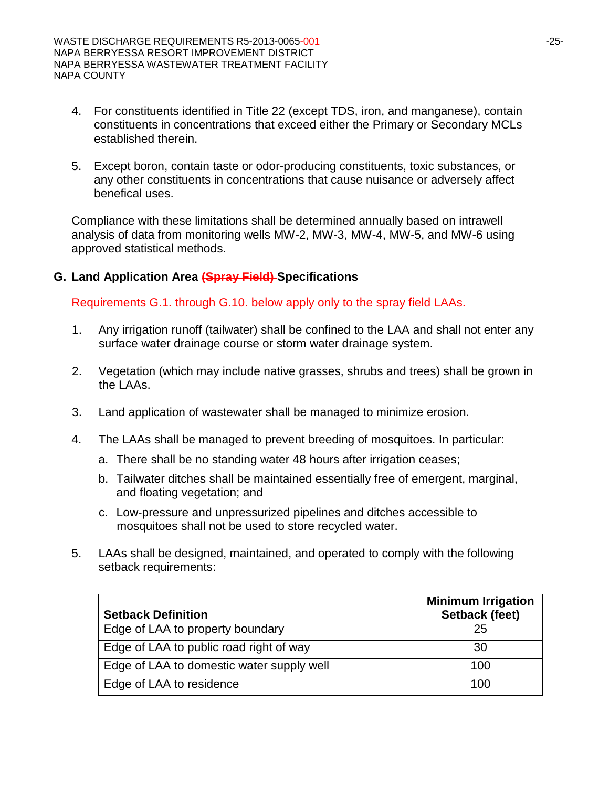- 4. For constituents identified in Title 22 (except TDS, iron, and manganese), contain constituents in concentrations that exceed either the Primary or Secondary MCLs established therein.
- 5. Except boron, contain taste or odor-producing constituents, toxic substances, or any other constituents in concentrations that cause nuisance or adversely affect benefical uses.

Compliance with these limitations shall be determined annually based on intrawell analysis of data from monitoring wells MW-2, MW-3, MW-4, MW-5, and MW-6 using approved statistical methods.

### **G. Land Application Area (Spray Field) Specifications**

Requirements G.1. through G.10. below apply only to the spray field LAAs.

- 1. Any irrigation runoff (tailwater) shall be confined to the LAA and shall not enter any surface water drainage course or storm water drainage system.
- 2. Vegetation (which may include native grasses, shrubs and trees) shall be grown in the LAAs.
- 3. Land application of wastewater shall be managed to minimize erosion.
- 4. The LAAs shall be managed to prevent breeding of mosquitoes. In particular:
	- a. There shall be no standing water 48 hours after irrigation ceases;
	- b. Tailwater ditches shall be maintained essentially free of emergent, marginal, and floating vegetation; and
	- c. Low-pressure and unpressurized pipelines and ditches accessible to mosquitoes shall not be used to store recycled water.
- 5. LAAs shall be designed, maintained, and operated to comply with the following setback requirements:

| <b>Setback Definition</b>                 | <b>Minimum Irrigation</b><br>Setback (feet) |
|-------------------------------------------|---------------------------------------------|
| Edge of LAA to property boundary          | 25                                          |
| Edge of LAA to public road right of way   | 30                                          |
| Edge of LAA to domestic water supply well | 100                                         |
| Edge of LAA to residence                  | 100                                         |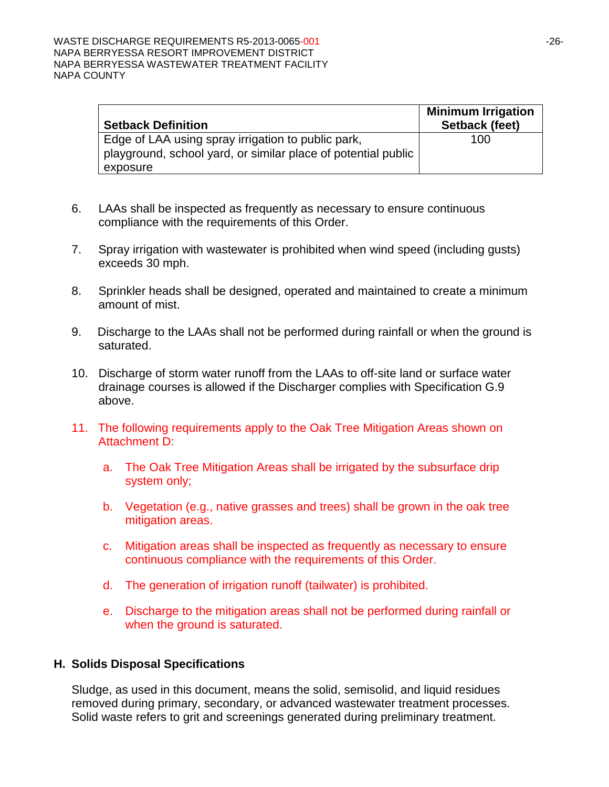| <b>Setback Definition</b>                                                                                           | <b>Minimum Irrigation</b><br>Setback (feet) |
|---------------------------------------------------------------------------------------------------------------------|---------------------------------------------|
| Edge of LAA using spray irrigation to public park,<br>playground, school yard, or similar place of potential public | 100                                         |
| exposure                                                                                                            |                                             |

- 6. LAAs shall be inspected as frequently as necessary to ensure continuous compliance with the requirements of this Order.
- 7. Spray irrigation with wastewater is prohibited when wind speed (including gusts) exceeds 30 mph.
- 8. Sprinkler heads shall be designed, operated and maintained to create a minimum amount of mist.
- 9. Discharge to the LAAs shall not be performed during rainfall or when the ground is saturated.
- 10. Discharge of storm water runoff from the LAAs to off-site land or surface water drainage courses is allowed if the Discharger complies with Specification G.9 above.
- 11. The following requirements apply to the Oak Tree Mitigation Areas shown on Attachment D:
	- a. The Oak Tree Mitigation Areas shall be irrigated by the subsurface drip system only;
	- b. Vegetation (e.g., native grasses and trees) shall be grown in the oak tree mitigation areas.
	- c. Mitigation areas shall be inspected as frequently as necessary to ensure continuous compliance with the requirements of this Order.
	- d. The generation of irrigation runoff (tailwater) is prohibited.
	- e. Discharge to the mitigation areas shall not be performed during rainfall or when the ground is saturated.

#### **H. Solids Disposal Specifications**

Sludge, as used in this document, means the solid, semisolid, and liquid residues removed during primary, secondary, or advanced wastewater treatment processes. Solid waste refers to grit and screenings generated during preliminary treatment.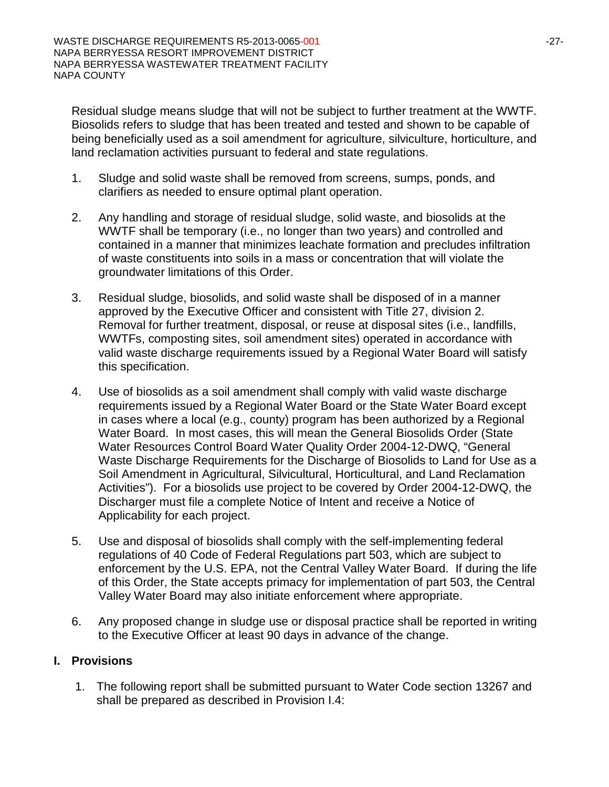Residual sludge means sludge that will not be subject to further treatment at the WWTF. Biosolids refers to sludge that has been treated and tested and shown to be capable of being beneficially used as a soil amendment for agriculture, silviculture, horticulture, and land reclamation activities pursuant to federal and state regulations.

- 1. Sludge and solid waste shall be removed from screens, sumps, ponds, and clarifiers as needed to ensure optimal plant operation.
- 2. Any handling and storage of residual sludge, solid waste, and biosolids at the WWTF shall be temporary (i.e., no longer than two years) and controlled and contained in a manner that minimizes leachate formation and precludes infiltration of waste constituents into soils in a mass or concentration that will violate the groundwater limitations of this Order.
- 3. Residual sludge, biosolids, and solid waste shall be disposed of in a manner approved by the Executive Officer and consistent with Title 27, division 2. Removal for further treatment, disposal, or reuse at disposal sites (i.e., landfills, WWTFs, composting sites, soil amendment sites) operated in accordance with valid waste discharge requirements issued by a Regional Water Board will satisfy this specification.
- 4. Use of biosolids as a soil amendment shall comply with valid waste discharge requirements issued by a Regional Water Board or the State Water Board except in cases where a local (e.g., county) program has been authorized by a Regional Water Board. In most cases, this will mean the General Biosolids Order (State Water Resources Control Board Water Quality Order 2004-12-DWQ, "General Waste Discharge Requirements for the Discharge of Biosolids to Land for Use as a Soil Amendment in Agricultural, Silvicultural, Horticultural, and Land Reclamation Activities"). For a biosolids use project to be covered by Order 2004-12-DWQ, the Discharger must file a complete Notice of Intent and receive a Notice of Applicability for each project.
- 5. Use and disposal of biosolids shall comply with the self-implementing federal regulations of 40 Code of Federal Regulations part 503, which are subject to enforcement by the U.S. EPA, not the Central Valley Water Board. If during the life of this Order, the State accepts primacy for implementation of part 503, the Central Valley Water Board may also initiate enforcement where appropriate.
- 6. Any proposed change in sludge use or disposal practice shall be reported in writing to the Executive Officer at least 90 days in advance of the change.

# **I. Provisions**

1. The following report shall be submitted pursuant to Water Code section 13267 and shall be prepared as described in Provision I.4: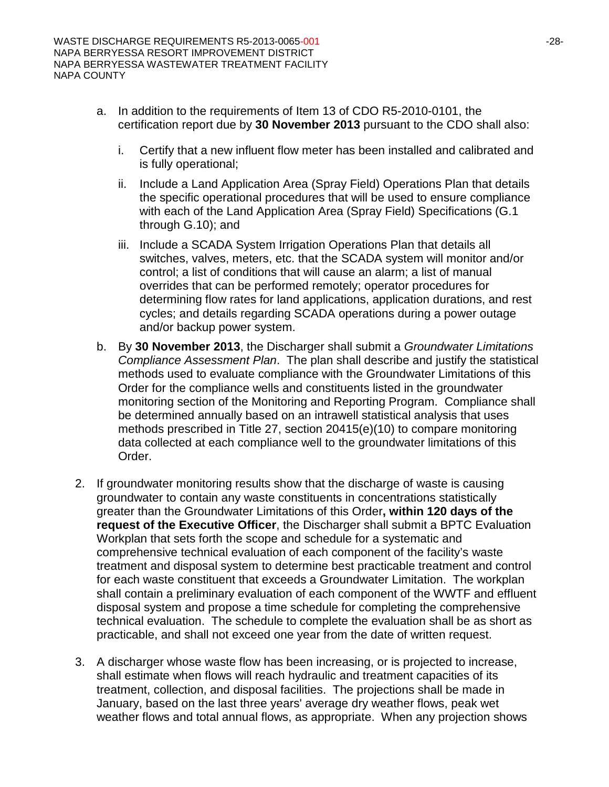- a. In addition to the requirements of Item 13 of CDO R5-2010-0101, the certification report due by **30 November 2013** pursuant to the CDO shall also:
	- i. Certify that a new influent flow meter has been installed and calibrated and is fully operational;
	- ii. Include a Land Application Area (Spray Field) Operations Plan that details the specific operational procedures that will be used to ensure compliance with each of the Land Application Area (Spray Field) Specifications (G.1 through G.10); and
	- iii. Include a SCADA System Irrigation Operations Plan that details all switches, valves, meters, etc. that the SCADA system will monitor and/or control; a list of conditions that will cause an alarm; a list of manual overrides that can be performed remotely; operator procedures for determining flow rates for land applications, application durations, and rest cycles; and details regarding SCADA operations during a power outage and/or backup power system.
- b. By **30 November 2013**, the Discharger shall submit a *Groundwater Limitations Compliance Assessment Plan*. The plan shall describe and justify the statistical methods used to evaluate compliance with the Groundwater Limitations of this Order for the compliance wells and constituents listed in the groundwater monitoring section of the Monitoring and Reporting Program. Compliance shall be determined annually based on an intrawell statistical analysis that uses methods prescribed in Title 27, section 20415(e)(10) to compare monitoring data collected at each compliance well to the groundwater limitations of this Order.
- 2. If groundwater monitoring results show that the discharge of waste is causing groundwater to contain any waste constituents in concentrations statistically greater than the Groundwater Limitations of this Order**, within 120 days of the request of the Executive Officer**, the Discharger shall submit a BPTC Evaluation Workplan that sets forth the scope and schedule for a systematic and comprehensive technical evaluation of each component of the facility's waste treatment and disposal system to determine best practicable treatment and control for each waste constituent that exceeds a Groundwater Limitation. The workplan shall contain a preliminary evaluation of each component of the WWTF and effluent disposal system and propose a time schedule for completing the comprehensive technical evaluation. The schedule to complete the evaluation shall be as short as practicable, and shall not exceed one year from the date of written request.
- 3. A discharger whose waste flow has been increasing, or is projected to increase, shall estimate when flows will reach hydraulic and treatment capacities of its treatment, collection, and disposal facilities. The projections shall be made in January, based on the last three years' average dry weather flows, peak wet weather flows and total annual flows, as appropriate. When any projection shows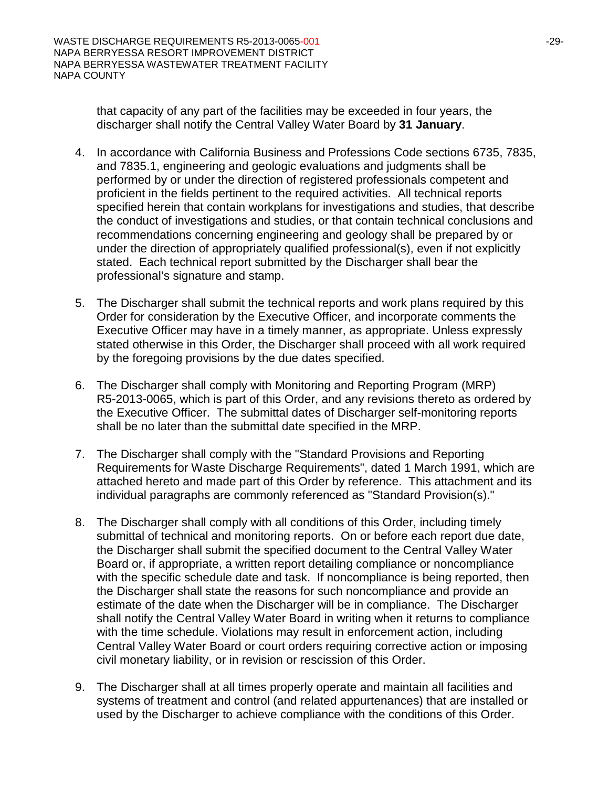that capacity of any part of the facilities may be exceeded in four years, the discharger shall notify the Central Valley Water Board by **31 January**.

- 4. In accordance with California Business and Professions Code sections 6735, 7835, and 7835.1, engineering and geologic evaluations and judgments shall be performed by or under the direction of registered professionals competent and proficient in the fields pertinent to the required activities. All technical reports specified herein that contain workplans for investigations and studies, that describe the conduct of investigations and studies, or that contain technical conclusions and recommendations concerning engineering and geology shall be prepared by or under the direction of appropriately qualified professional(s), even if not explicitly stated. Each technical report submitted by the Discharger shall bear the professional's signature and stamp.
- 5. The Discharger shall submit the technical reports and work plans required by this Order for consideration by the Executive Officer, and incorporate comments the Executive Officer may have in a timely manner, as appropriate. Unless expressly stated otherwise in this Order, the Discharger shall proceed with all work required by the foregoing provisions by the due dates specified.
- 6. The Discharger shall comply with Monitoring and Reporting Program (MRP) R5-2013-0065, which is part of this Order, and any revisions thereto as ordered by the Executive Officer. The submittal dates of Discharger self-monitoring reports shall be no later than the submittal date specified in the MRP.
- 7. The Discharger shall comply with the "Standard Provisions and Reporting Requirements for Waste Discharge Requirements", dated 1 March 1991, which are attached hereto and made part of this Order by reference. This attachment and its individual paragraphs are commonly referenced as "Standard Provision(s)."
- 8. The Discharger shall comply with all conditions of this Order, including timely submittal of technical and monitoring reports. On or before each report due date, the Discharger shall submit the specified document to the Central Valley Water Board or, if appropriate, a written report detailing compliance or noncompliance with the specific schedule date and task. If noncompliance is being reported, then the Discharger shall state the reasons for such noncompliance and provide an estimate of the date when the Discharger will be in compliance. The Discharger shall notify the Central Valley Water Board in writing when it returns to compliance with the time schedule. Violations may result in enforcement action, including Central Valley Water Board or court orders requiring corrective action or imposing civil monetary liability, or in revision or rescission of this Order.
- 9. The Discharger shall at all times properly operate and maintain all facilities and systems of treatment and control (and related appurtenances) that are installed or used by the Discharger to achieve compliance with the conditions of this Order.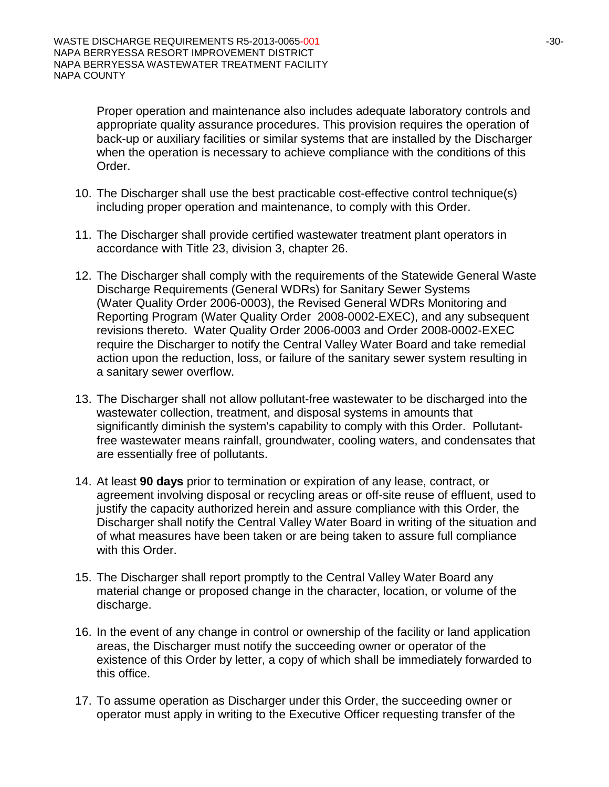Proper operation and maintenance also includes adequate laboratory controls and appropriate quality assurance procedures. This provision requires the operation of back-up or auxiliary facilities or similar systems that are installed by the Discharger when the operation is necessary to achieve compliance with the conditions of this Order.

- 10. The Discharger shall use the best practicable cost-effective control technique(s) including proper operation and maintenance, to comply with this Order.
- 11. The Discharger shall provide certified wastewater treatment plant operators in accordance with Title 23, division 3, chapter 26.
- 12. The Discharger shall comply with the requirements of the Statewide General Waste Discharge Requirements (General WDRs) for Sanitary Sewer Systems (Water Quality Order 2006-0003), the Revised General WDRs Monitoring and Reporting Program (Water Quality Order 2008-0002-EXEC), and any subsequent revisions thereto. Water Quality Order 2006-0003 and Order 2008-0002-EXEC require the Discharger to notify the Central Valley Water Board and take remedial action upon the reduction, loss, or failure of the sanitary sewer system resulting in a sanitary sewer overflow.
- 13. The Discharger shall not allow pollutant-free wastewater to be discharged into the wastewater collection, treatment, and disposal systems in amounts that significantly diminish the system's capability to comply with this Order. Pollutantfree wastewater means rainfall, groundwater, cooling waters, and condensates that are essentially free of pollutants.
- 14. At least **90 days** prior to termination or expiration of any lease, contract, or agreement involving disposal or recycling areas or off-site reuse of effluent, used to justify the capacity authorized herein and assure compliance with this Order, the Discharger shall notify the Central Valley Water Board in writing of the situation and of what measures have been taken or are being taken to assure full compliance with this Order.
- 15. The Discharger shall report promptly to the Central Valley Water Board any material change or proposed change in the character, location, or volume of the discharge.
- 16. In the event of any change in control or ownership of the facility or land application areas, the Discharger must notify the succeeding owner or operator of the existence of this Order by letter, a copy of which shall be immediately forwarded to this office.
- 17. To assume operation as Discharger under this Order, the succeeding owner or operator must apply in writing to the Executive Officer requesting transfer of the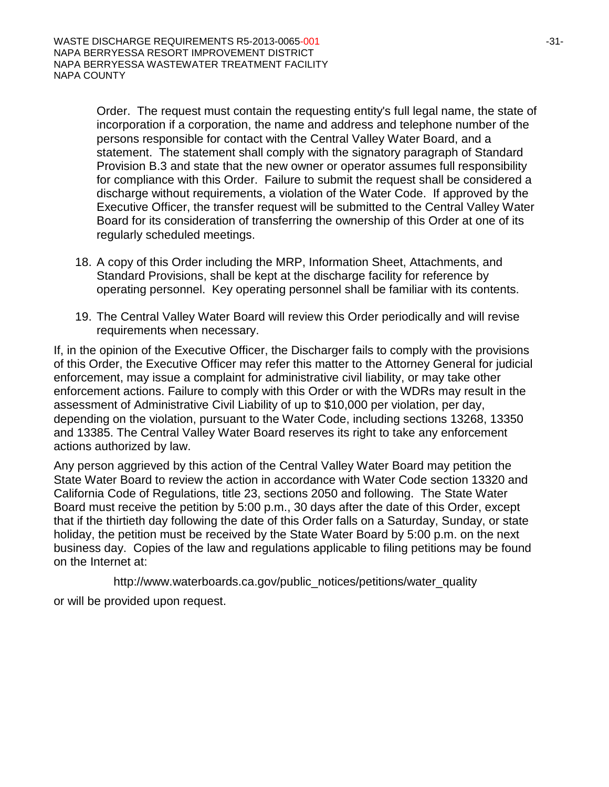Order. The request must contain the requesting entity's full legal name, the state of incorporation if a corporation, the name and address and telephone number of the persons responsible for contact with the Central Valley Water Board, and a statement. The statement shall comply with the signatory paragraph of Standard Provision B.3 and state that the new owner or operator assumes full responsibility for compliance with this Order. Failure to submit the request shall be considered a discharge without requirements, a violation of the Water Code. If approved by the Executive Officer, the transfer request will be submitted to the Central Valley Water Board for its consideration of transferring the ownership of this Order at one of its regularly scheduled meetings.

- 18. A copy of this Order including the MRP, Information Sheet, Attachments, and Standard Provisions, shall be kept at the discharge facility for reference by operating personnel. Key operating personnel shall be familiar with its contents.
- 19. The Central Valley Water Board will review this Order periodically and will revise requirements when necessary.

If, in the opinion of the Executive Officer, the Discharger fails to comply with the provisions of this Order, the Executive Officer may refer this matter to the Attorney General for judicial enforcement, may issue a complaint for administrative civil liability, or may take other enforcement actions. Failure to comply with this Order or with the WDRs may result in the assessment of Administrative Civil Liability of up to \$10,000 per violation, per day, depending on the violation, pursuant to the Water Code, including sections 13268, 13350 and 13385. The Central Valley Water Board reserves its right to take any enforcement actions authorized by law.

Any person aggrieved by this action of the Central Valley Water Board may petition the State Water Board to review the action in accordance with Water Code section 13320 and California Code of Regulations, title 23, sections 2050 and following. The State Water Board must receive the petition by 5:00 p.m., 30 days after the date of this Order, except that if the thirtieth day following the date of this Order falls on a Saturday, Sunday, or state holiday, the petition must be received by the State Water Board by 5:00 p.m. on the next business day. Copies of the law and regulations applicable to filing petitions may be found on the Internet at:

http://www.waterboards.ca.gov/public\_notices/petitions/water\_quality or will be provided upon request.